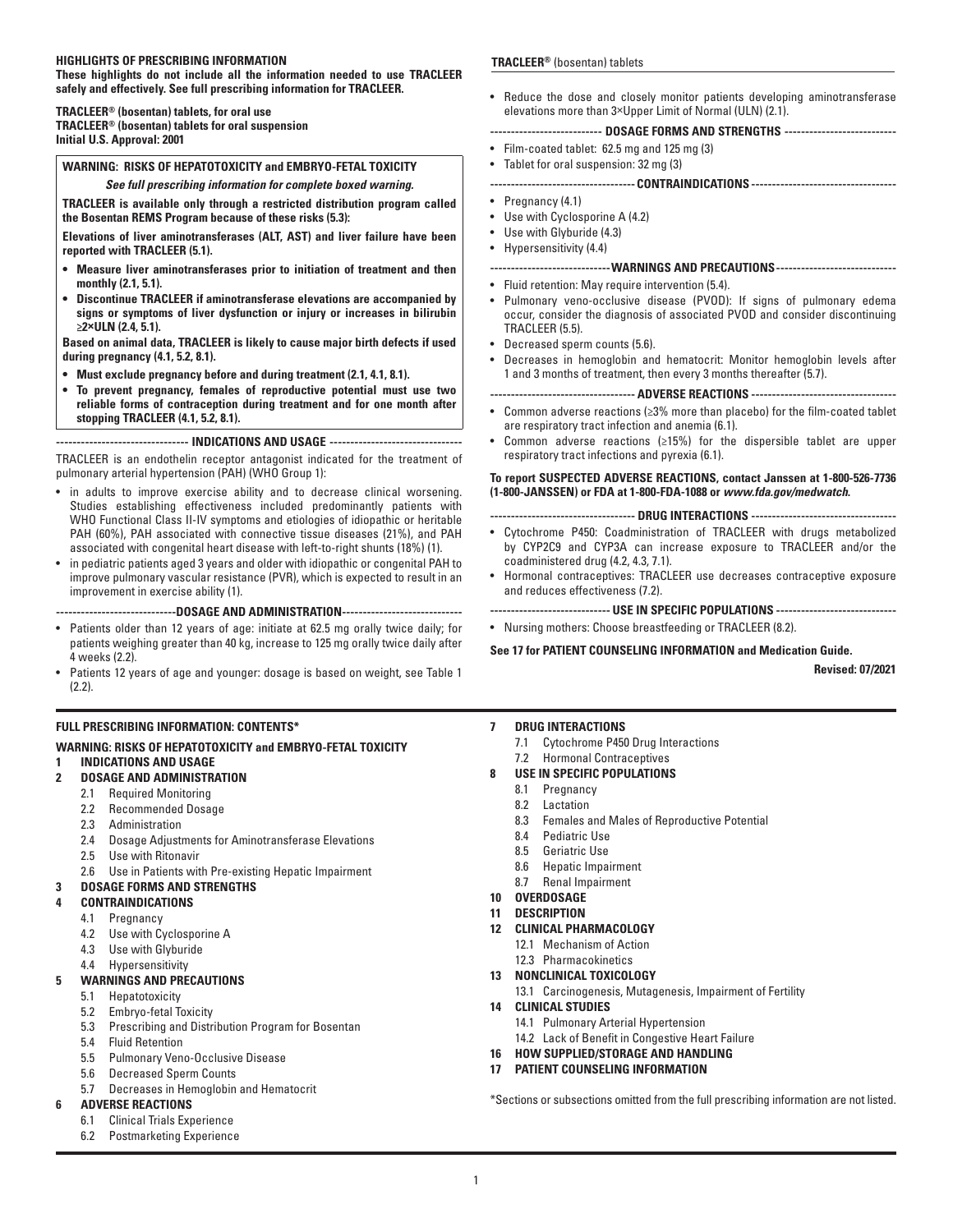| <b>HIGHLIGHTS OF PRESCRIBING INFORMATION</b><br>These highlights do not include all the information needed to use TRACLEER                                                                                                                                                                                                                                                                                                                                                                                                                                                                                                                                                                                                                                                                                                                                                                 | TRACLEER <sup>®</sup> (bosentan) tablets                                                                                                                                                                                                                                                                                                                                                                                                                                                                                                                                                                                                                                                                                                                                                                                                                                                           |  |  |  |  |
|--------------------------------------------------------------------------------------------------------------------------------------------------------------------------------------------------------------------------------------------------------------------------------------------------------------------------------------------------------------------------------------------------------------------------------------------------------------------------------------------------------------------------------------------------------------------------------------------------------------------------------------------------------------------------------------------------------------------------------------------------------------------------------------------------------------------------------------------------------------------------------------------|----------------------------------------------------------------------------------------------------------------------------------------------------------------------------------------------------------------------------------------------------------------------------------------------------------------------------------------------------------------------------------------------------------------------------------------------------------------------------------------------------------------------------------------------------------------------------------------------------------------------------------------------------------------------------------------------------------------------------------------------------------------------------------------------------------------------------------------------------------------------------------------------------|--|--|--|--|
| safely and effectively. See full prescribing information for TRACLEER.<br>TRACLEER <sup>®</sup> (bosentan) tablets, for oral use<br><b>TRACLEER<sup>®</sup> (bosentan) tablets for oral suspension</b><br>Initial U.S. Approval: 2001                                                                                                                                                                                                                                                                                                                                                                                                                                                                                                                                                                                                                                                      | • Reduce the dose and closely monitor patients developing aminotransferase<br>elevations more than 3×Upper Limit of Normal (ULN) (2.1).<br>-------------------------- DOSAGE FORMS AND STRENGTHS --------------------------<br>• Film-coated tablet: 62.5 mg and 125 mg (3)                                                                                                                                                                                                                                                                                                                                                                                                                                                                                                                                                                                                                        |  |  |  |  |
| <b>WARNING: RISKS OF HEPATOTOXICITY and EMBRYO-FETAL TOXICITY</b>                                                                                                                                                                                                                                                                                                                                                                                                                                                                                                                                                                                                                                                                                                                                                                                                                          | • Tablet for oral suspension: 32 mg (3)                                                                                                                                                                                                                                                                                                                                                                                                                                                                                                                                                                                                                                                                                                                                                                                                                                                            |  |  |  |  |
| See full prescribing information for complete boxed warning.                                                                                                                                                                                                                                                                                                                                                                                                                                                                                                                                                                                                                                                                                                                                                                                                                               | ---------------------------------- CONTRAINDICATIONS ----------------------------------                                                                                                                                                                                                                                                                                                                                                                                                                                                                                                                                                                                                                                                                                                                                                                                                            |  |  |  |  |
| TRACLEER is available only through a restricted distribution program called<br>the Bosentan REMS Program because of these risks (5.3):<br>Elevations of liver aminotransferases (ALT, AST) and liver failure have been                                                                                                                                                                                                                                                                                                                                                                                                                                                                                                                                                                                                                                                                     | • Pregnancy $(4.1)$<br>• Use with Cyclosporine A (4.2)<br>Use with Glyburide (4.3)<br>$\bullet$<br>Hypersensitivity (4.4)<br>٠                                                                                                                                                                                                                                                                                                                                                                                                                                                                                                                                                                                                                                                                                                                                                                     |  |  |  |  |
| reported with TRACLEER (5.1).<br>• Measure liver aminotransferases prior to initiation of treatment and then<br>monthly (2.1, 5.1).<br>• Discontinue TRACLEER if aminotransferase elevations are accompanied by<br>signs or symptoms of liver dysfunction or injury or increases in bilirubin<br>$\geq$ 2×ULN (2.4, 5.1).<br>Based on animal data, TRACLEER is likely to cause major birth defects if used<br>during pregnancy (4.1, 5.2, 8.1).<br>• Must exclude pregnancy before and during treatment (2.1, 4.1, 8.1).<br>• To prevent pregnancy, females of reproductive potential must use two<br>reliable forms of contraception during treatment and for one month after<br>stopping TRACLEER (4.1, 5.2, 8.1).<br>----------------------------- INDICATIONS AND USAGE ------------------------------<br>TRACLEER is an endothelin receptor antagonist indicated for the treatment of | ----------------------------- WARNINGS AND PRECAUTIONS---------------------------<br>$\bullet$<br>Fluid retention: May require intervention (5.4).<br>• Pulmonary veno-occlusive disease (PVOD): If signs of pulmonary edema<br>occur, consider the diagnosis of associated PVOD and consider discontinuing<br>TRACLEER (5.5).<br>• Decreased sperm counts (5.6).<br>Decreases in hemoglobin and hematocrit: Monitor hemoglobin levels after<br>1 and 3 months of treatment, then every 3 months thereafter (5.7).<br>---------------------------------- ADVERSE REACTIONS ----------------------------------<br>• Common adverse reactions ( $\geq 3\%$ more than placebo) for the film-coated tablet<br>are respiratory tract infection and anemia (6.1).<br>Common adverse reactions ( $\geq$ 15%) for the dispersible tablet are upper<br>۰<br>respiratory tract infections and pyrexia (6.1). |  |  |  |  |
| pulmonary arterial hypertension (PAH) (WHO Group 1):<br>• in adults to improve exercise ability and to decrease clinical worsening.<br>Studies establishing effectiveness included predominantly patients with<br>WHO Functional Class II-IV symptoms and etiologies of idiopathic or heritable<br>PAH (60%), PAH associated with connective tissue diseases (21%), and PAH<br>associated with congenital heart disease with left-to-right shunts (18%) (1).<br>• in pediatric patients aged 3 years and older with idiopathic or congenital PAH to<br>improve pulmonary vascular resistance (PVR), which is expected to result in an<br>improvement in exercise ability (1).                                                                                                                                                                                                              | To report SUSPECTED ADVERSE REACTIONS, contact Janssen at 1-800-526-7736<br>(1-800-JANSSEN) or FDA at 1-800-FDA-1088 or www.fda.gov/medwatch.<br>---------------------------------- DRUG INTERACTIONS ----------------------------------                                                                                                                                                                                                                                                                                                                                                                                                                                                                                                                                                                                                                                                           |  |  |  |  |
|                                                                                                                                                                                                                                                                                                                                                                                                                                                                                                                                                                                                                                                                                                                                                                                                                                                                                            | • Cytochrome P450: Coadministration of TRACLEER with drugs metabolized<br>by CYP2C9 and CYP3A can increase exposure to TRACLEER and/or the<br>coadministered drug (4.2, 4.3, 7.1).<br>• Hormonal contraceptives: TRACLEER use decreases contraceptive exposure<br>and reduces effectiveness (7.2).                                                                                                                                                                                                                                                                                                                                                                                                                                                                                                                                                                                                 |  |  |  |  |
| ----------------------------DOSAGE AND ADMINISTRATION----------------------------                                                                                                                                                                                                                                                                                                                                                                                                                                                                                                                                                                                                                                                                                                                                                                                                          | ----------------------------- USE IN SPECIFIC POPULATIONS -----------------------------                                                                                                                                                                                                                                                                                                                                                                                                                                                                                                                                                                                                                                                                                                                                                                                                            |  |  |  |  |
| • Patients older than 12 years of age: initiate at 62.5 mg orally twice daily; for<br>patients weighing greater than 40 kg, increase to 125 mg orally twice daily after<br>4 weeks (2.2).                                                                                                                                                                                                                                                                                                                                                                                                                                                                                                                                                                                                                                                                                                  | • Nursing mothers: Choose breastfeeding or TRACLEER (8.2).<br>See 17 for PATIENT COUNSELING INFORMATION and Medication Guide.                                                                                                                                                                                                                                                                                                                                                                                                                                                                                                                                                                                                                                                                                                                                                                      |  |  |  |  |
| • Patients 12 years of age and younger: dosage is based on weight, see Table 1<br>$(2.2)$ .                                                                                                                                                                                                                                                                                                                                                                                                                                                                                                                                                                                                                                                                                                                                                                                                | <b>Revised: 07/2021</b>                                                                                                                                                                                                                                                                                                                                                                                                                                                                                                                                                                                                                                                                                                                                                                                                                                                                            |  |  |  |  |
| <b>FULL PRESCRIBING INFORMATION: CONTENTS*</b><br><b>WARNING: RISKS OF HEPATOTOXICITY and EMBRYO-FETAL TOXICITY</b><br><b>INDICATIONS AND USAGE</b><br>1<br>$\overline{2}$<br><b>DOSAGE AND ADMINISTRATION</b><br>2.1 Required Monitoring<br>2.2 Recommended Dosage                                                                                                                                                                                                                                                                                                                                                                                                                                                                                                                                                                                                                        | <b>DRUG INTERACTIONS</b><br>7<br>Cytochrome P450 Drug Interactions<br>7.1<br>7.2 Hormonal Contraceptives<br>USE IN SPECIFIC POPULATIONS<br>8<br>Pregnancy<br>8.1<br>8.2 Lactation<br>$\mathbf{r}$<br>.                                                                                                                                                                                                                                                                                                                                                                                                                                                                                                                                                                                                                                                                                             |  |  |  |  |

- 2.3 Administration
- 2.4 Dosage Adjustments for Aminotransferase Elevations
- 2.5 Use with Ritonavir
- 2.6 Use in Patients with Pre-existing Hepatic Impairment

# **3 DOSAGE FORMS AND STRENGTHS**

- **4 CONTRAINDICATIONS**
	- 4.1 Pregnancy
	- 4.2 Use with Cyclosporine A
	- 4.3 Use with Glyburide
	- 4.4 Hypersensitivity

# **5 WARNINGS AND PRECAUTIONS**

- 5.1 Hepatotoxicity
- 5.2 Embryo-fetal Toxicity<br>5.3 Prescribing and Distri
- Prescribing and Distribution Program for Bosentan
- 5.4 Fluid Retention
- 5.5 Pulmonary Veno-Occlusive Disease
- 5.6 Decreased Sperm Counts
- 5.7 Decreases in Hemoglobin and Hematocrit
- **6 ADVERSE REACTIONS**
	- 6.1 Clinical Trials Experience
	- 6.2 Postmarketing Experience
- 8.3 Females and Males of Reproductive Potential
- 8.4 Pediatric Use
- 8.5 Geriatric Use
- 8.6 Hepatic Impairment
- 8.7 Renal Impairment
- **10 OVERDOSAGE**
- **11 DESCRIPTION**
- **12 CLINICAL PHARMACOLOGY**
	- 12.1 Mechanism of Action
	- 12.3 Pharmacokinetics
- **13 NONCLINICAL TOXICOLOGY**
	- 13.1 Carcinogenesis, Mutagenesis, Impairment of Fertility
- **14 CLINICAL STUDIES**
- 14.1 Pulmonary Arterial Hypertension
- 14.2 Lack of Benefit in Congestive Heart Failure
- **16 HOW SUPPLIED/STORAGE AND HANDLING 17 PATIENT COUNSELING INFORMATION**
- 

\*Sections or subsections omitted from the full prescribing information are not listed.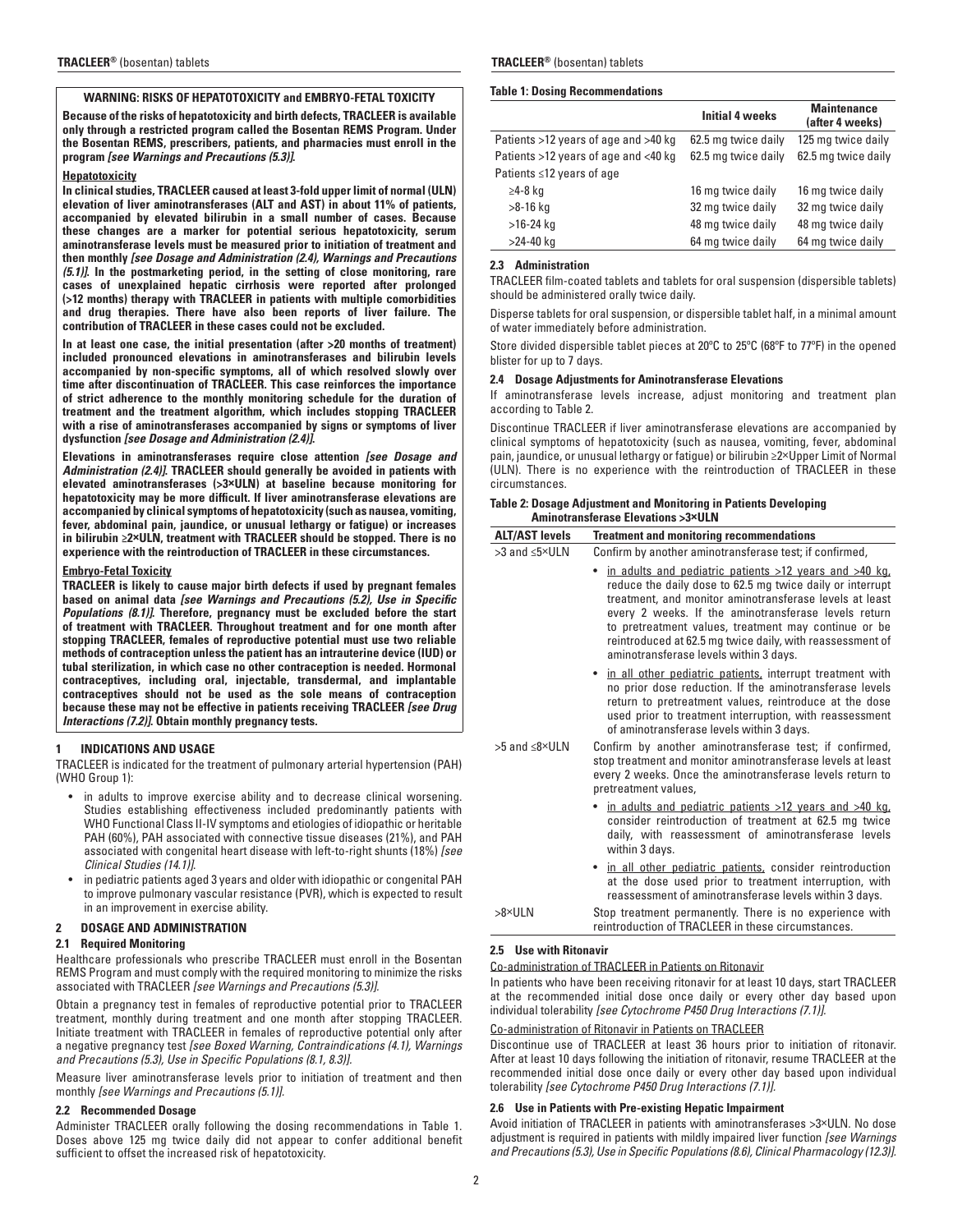# **WARNING: RISKS OF HEPATOTOXICITY and EMBRYO-FETAL TOXICITY**

**Because of the risks of hepatotoxicity and birth defects, TRACLEER is available only through a restricted program called the Bosentan REMS Program. Under the Bosentan REMS, prescribers, patients, and pharmacies must enroll in the program** *[see Warnings and Precautions (5.3)]***.**

#### **Hepatotoxicity**

**In clinical studies, TRACLEER caused at least 3-fold upper limit of normal (ULN) elevation of liver aminotransferases (ALT and AST) in about 11% of patients, accompanied by elevated bilirubin in a small number of cases. Because these changes are a marker for potential serious hepatotoxicity, serum aminotransferase levels must be measured prior to initiation of treatment and then monthly** *[see Dosage and Administration (2.4), Warnings and Precautions (5.1)]***. In the postmarketing period, in the setting of close monitoring, rare cases of unexplained hepatic cirrhosis were reported after prolonged (>12 months) therapy with TRACLEER in patients with multiple comorbidities and drug therapies. There have also been reports of liver failure. The contribution of TRACLEER in these cases could not be excluded.**

**In at least one case, the initial presentation (after >20 months of treatment) included pronounced elevations in aminotransferases and bilirubin levels accompanied by non-specific symptoms, all of which resolved slowly over time after discontinuation of TRACLEER. This case reinforces the importance of strict adherence to the monthly monitoring schedule for the duration of treatment and the treatment algorithm, which includes stopping TRACLEER with a rise of aminotransferases accompanied by signs or symptoms of liver dysfunction** *[see Dosage and Administration (2.4)]***.**

**Elevations in aminotransferases require close attention** *[see Dosage and Administration (2.4)]***. TRACLEER should generally be avoided in patients with elevated aminotransferases (>3×ULN) at baseline because monitoring for hepatotoxicity may be more difficult. If liver aminotransferase elevations are accompanied by clinical symptoms of hepatotoxicity (such as nausea, vomiting, fever, abdominal pain, jaundice, or unusual lethargy or fatigue) or increases in bilirubin ≥2×ULN, treatment with TRACLEER should be stopped. There is no experience with the reintroduction of TRACLEER in these circumstances.**

### **Embryo-Fetal Toxicity**

**TRACLEER is likely to cause major birth defects if used by pregnant females based on animal data** *[see Warnings and Precautions (5.2), Use in Specific Populations (8.1)]***. Therefore, pregnancy must be excluded before the start of treatment with TRACLEER. Throughout treatment and for one month after stopping TRACLEER, females of reproductive potential must use two reliable methods of contraception unless the patient has an intrauterine device (IUD) or tubal sterilization, in which case no other contraception is needed. Hormonal contraceptives, including oral, injectable, transdermal, and implantable contraceptives should not be used as the sole means of contraception because these may not be effective in patients receiving TRACLEER** *[see Drug Interactions (7.2)]***. Obtain monthly pregnancy tests.**

### **1 INDICATIONS AND USAGE**

TRACLEER is indicated for the treatment of pulmonary arterial hypertension (PAH) (WHO Group 1):

- in adults to improve exercise ability and to decrease clinical worsening. Studies establishing effectiveness included predominantly patients with WHO Functional Class II-IV symptoms and etiologies of idiopathic or heritable PAH (60%), PAH associated with connective tissue diseases (21%), and PAH associated with congenital heart disease with left-to-right shunts (18%) *[see Clinical Studies (14.1)]*.
- in pediatric patients aged 3 years and older with idiopathic or congenital PAH to improve pulmonary vascular resistance (PVR), which is expected to result in an improvement in exercise ability.
- **2 DOSAGE AND ADMINISTRATION**

### **2.1 Required Monitoring**

Healthcare professionals who prescribe TRACLEER must enroll in the Bosentan REMS Program and must comply with the required monitoring to minimize the risks associated with TRACLEER *[see Warnings and Precautions (5.3)].*

Obtain a pregnancy test in females of reproductive potential prior to TRACLEER treatment, monthly during treatment and one month after stopping TRACLEER. Initiate treatment with TRACLEER in females of reproductive potential only after a negative pregnancy test *[see Boxed Warning, Contraindications (4.1), Warnings and Precautions (5.3), Use in Specific Populations (8.1, 8.3)].*

Measure liver aminotransferase levels prior to initiation of treatment and then monthly *[see Warnings and Precautions (5.1)].*

### **2.2 Recommended Dosage**

Administer TRACLEER orally following the dosing recommendations in Table 1. Doses above 125 mg twice daily did not appear to confer additional benefit sufficient to offset the increased risk of hepatotoxicity.

#### **TRACLEER®** (bosentan) tablets **TRACLEER®** (bosentan) tablets

#### **Table 1: Dosing Recommendations**

|                                      | <b>Initial 4 weeks</b> | <b>Maintenance</b><br>(after 4 weeks) |
|--------------------------------------|------------------------|---------------------------------------|
| Patients >12 years of age and >40 kg | 62.5 mg twice daily    | 125 mg twice daily                    |
| Patients >12 years of age and <40 kg | 62.5 mg twice daily    | 62.5 mg twice daily                   |
| Patients ≤12 years of age            |                        |                                       |
| ≥4-8 kg                              | 16 mg twice daily      | 16 mg twice daily                     |
| >8-16 kg                             | 32 mg twice daily      | 32 mg twice daily                     |
| $>16-24$ kg                          | 48 mg twice daily      | 48 mg twice daily                     |
| $>24-40$ kg                          | 64 mg twice daily      | 64 mg twice daily                     |

#### **2.3 Administration**

TRACLEER film-coated tablets and tablets for oral suspension (dispersible tablets) should be administered orally twice daily.

Disperse tablets for oral suspension, or dispersible tablet half, in a minimal amount of water immediately before administration.

Store divided dispersible tablet pieces at 20ºC to 25ºC (68ºF to 77ºF) in the opened blister for up to 7 days.

#### **2.4 Dosage Adjustments for Aminotransferase Elevations**

If aminotransferase levels increase, adjust monitoring and treatment plan according to Table 2.

Discontinue TRACLEER if liver aminotransferase elevations are accompanied by clinical symptoms of hepatotoxicity (such as nausea, vomiting, fever, abdominal pain, jaundice, or unusual lethargy or fatigue) or bilirubin ≥2×Upper Limit of Normal (ULN). There is no experience with the reintroduction of TRACLEER in these circumstances.

#### **Table 2: Dosage Adjustment and Monitoring in Patients Developing Aminotransferase Elevations >3×ULN**

| <b>ALT/AST levels</b>   | <b>Treatment and monitoring recommendations</b>                                                                                                                                                                                                                                                                                                                                                         |
|-------------------------|---------------------------------------------------------------------------------------------------------------------------------------------------------------------------------------------------------------------------------------------------------------------------------------------------------------------------------------------------------------------------------------------------------|
| >3 and ≤5×ULN           | Confirm by another aminotransferase test; if confirmed,                                                                                                                                                                                                                                                                                                                                                 |
|                         | • in adults and pediatric patients >12 years and >40 kg,<br>reduce the daily dose to 62.5 mg twice daily or interrupt<br>treatment, and monitor aminotransferase levels at least<br>every 2 weeks. If the aminotransferase levels return<br>to pretreatment values, treatment may continue or be<br>reintroduced at 62.5 mg twice daily, with reassessment of<br>aminotransferase levels within 3 days. |
|                         | • in all other pediatric patients, interrupt treatment with<br>no prior dose reduction. If the aminotransferase levels<br>return to pretreatment values, reintroduce at the dose<br>used prior to treatment interruption, with reassessment<br>of aminotransferase levels within 3 days.                                                                                                                |
| $>5$ and $<8\times$ UIN | Confirm by another aminotransferase test; if confirmed,<br>stop treatment and monitor aminotransferase levels at least<br>every 2 weeks. Once the aminotransferase levels return to<br>pretreatment values,                                                                                                                                                                                             |
|                         | • in adults and pediatric patients >12 years and >40 kg,<br>consider reintroduction of treatment at 62.5 mg twice<br>daily, with reassessment of aminotransferase levels<br>within 3 days.                                                                                                                                                                                                              |
|                         | • in all other pediatric patients, consider reintroduction<br>at the dose used prior to treatment interruption, with<br>reassessment of aminotransferase levels within 3 days.                                                                                                                                                                                                                          |
| $>8\times$ ULN          | Stop treatment permanently. There is no experience with<br>reintroduction of TRACLEER in these circumstances.                                                                                                                                                                                                                                                                                           |

### **2.5 Use with Ritonavir**

Co-administration of TRACLEER in Patients on Ritonavir

In patients who have been receiving ritonavir for at least 10 days, start TRACLEER at the recommended initial dose once daily or every other day based upon individual tolerability *[see Cytochrome P450 Drug Interactions (7.1)].*

### Co-administration of Ritonavir in Patients on TRACLEER

Discontinue use of TRACLEER at least 36 hours prior to initiation of ritonavir. After at least 10 days following the initiation of ritonavir, resume TRACLEER at the recommended initial dose once daily or every other day based upon individual tolerability *[see Cytochrome P450 Drug Interactions (7.1)].*

### **2.6 Use in Patients with Pre-existing Hepatic Impairment**

Avoid initiation of TRACLEER in patients with aminotransferases >3×ULN. No dose adjustment is required in patients with mildly impaired liver function *[see Warnings and Precautions (5.3), Use in Specific Populations (8.6), Clinical Pharmacology (12.3)].*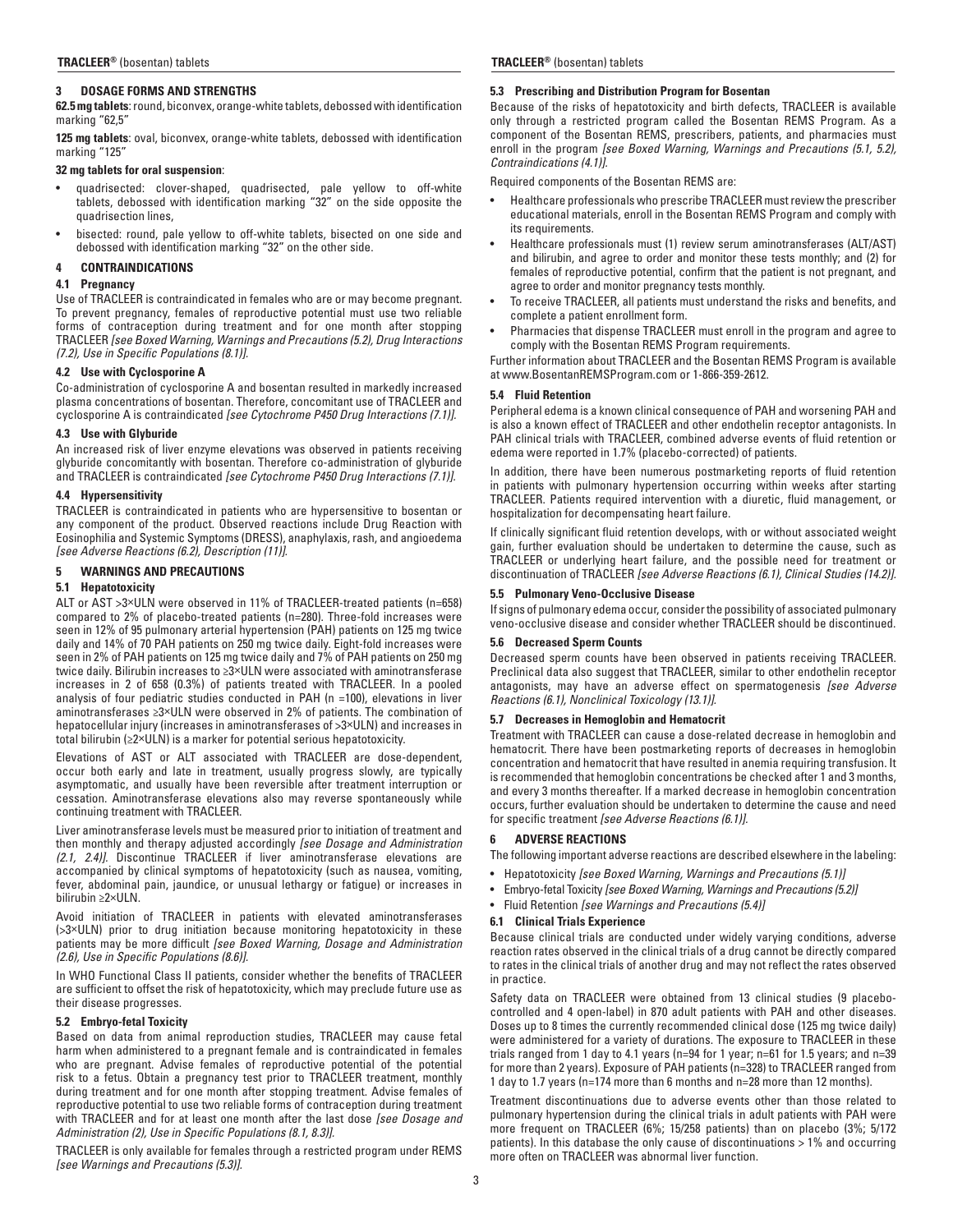# **3 DOSAGE FORMS AND STRENGTHS**

**62.5 mg tablets**: round, biconvex, orange-white tablets, debossed with identification marking "62,5"

**125 mg tablets**: oval, biconvex, orange-white tablets, debossed with identification marking "125"

# **32 mg tablets for oral suspension**:

- quadrisected: clover-shaped, quadrisected, pale yellow to off-white tablets, debossed with identification marking "32" on the side opposite the quadrisection lines,
- bisected: round, pale yellow to off-white tablets, bisected on one side and debossed with identification marking "32" on the other side.

# **4 CONTRAINDICATIONS**

# **4.1 Pregnancy**

Use of TRACLEER is contraindicated in females who are or may become pregnant. To prevent pregnancy, females of reproductive potential must use two reliable forms of contraception during treatment and for one month after stopping TRACLEER *[see Boxed Warning, Warnings and Precautions (5.2), Drug Interactions (7.2), Use in Specific Populations (8.1)].*

# **4.2 Use with Cyclosporine A**

Co-administration of cyclosporine A and bosentan resulted in markedly increased plasma concentrations of bosentan. Therefore, concomitant use of TRACLEER and cyclosporine A is contraindicated *[see Cytochrome P450 Drug Interactions (7.1)].*

# **4.3 Use with Glyburide**

An increased risk of liver enzyme elevations was observed in patients receiving glyburide concomitantly with bosentan. Therefore co-administration of glyburide and TRACLEER is contraindicated *[see Cytochrome P450 Drug Interactions (7.1)].*

# **4.4 Hypersensitivity**

TRACLEER is contraindicated in patients who are hypersensitive to bosentan or any component of the product. Observed reactions include Drug Reaction with Eosinophilia and Systemic Symptoms (DRESS), anaphylaxis, rash, and angioedema *[see Adverse Reactions (6.2), Description (11)].*

# **5 WARNINGS AND PRECAUTIONS**

# **5.1 Hepatotoxicity**

ALT or AST >3×ULN were observed in 11% of TRACLEER-treated patients (n=658) compared to 2% of placebo-treated patients (n=280). Three-fold increases were seen in 12% of 95 pulmonary arterial hypertension (PAH) patients on 125 mg twice daily and 14% of 70 PAH patients on 250 mg twice daily. Eight-fold increases were seen in 2% of PAH patients on 125 mg twice daily and 7% of PAH patients on 250 mg twice daily. Bilirubin increases to ≥3×ULN were associated with aminotransferase increases in 2 of 658 (0.3%) of patients treated with TRACLEER. In a pooled analysis of four pediatric studies conducted in PAH (n =100), elevations in liver aminotransferases ≥3×ULN were observed in 2% of patients. The combination of hepatocellular injury (increases in aminotransferases of >3×ULN) and increases in total bilirubin (≥2×ULN) is a marker for potential serious hepatotoxicity.

Elevations of AST or ALT associated with TRACLEER are dose-dependent, occur both early and late in treatment, usually progress slowly, are typically asymptomatic, and usually have been reversible after treatment interruption or cessation. Aminotransferase elevations also may reverse spontaneously while continuing treatment with TRACLEER.

Liver aminotransferase levels must be measured prior to initiation of treatment and then monthly and therapy adjusted accordingly *[see Dosage and Administration (2.1, 2.4)].* Discontinue TRACLEER if liver aminotransferase elevations are accompanied by clinical symptoms of hepatotoxicity (such as nausea, vomiting, fever, abdominal pain, jaundice, or unusual lethargy or fatigue) or increases in bilirubin ≥2×ULN.

Avoid initiation of TRACLEER in patients with elevated aminotransferases (>3×ULN) prior to drug initiation because monitoring hepatotoxicity in these patients may be more difficult *[see Boxed Warning, Dosage and Administration (2.6), Use in Specific Populations (8.6)].*

In WHO Functional Class II patients, consider whether the benefits of TRACLEER are sufficient to offset the risk of hepatotoxicity, which may preclude future use as their disease progresses.

# **5.2 Embryo-fetal Toxicity**

Based on data from animal reproduction studies, TRACLEER may cause fetal harm when administered to a pregnant female and is contraindicated in females who are pregnant. Advise females of reproductive potential of the potential risk to a fetus. Obtain a pregnancy test prior to TRACLEER treatment, monthly during treatment and for one month after stopping treatment. Advise females of reproductive potential to use two reliable forms of contraception during treatment with TRACLEER and for at least one month after the last dose *[see Dosage and Administration (2), Use in Specific Populations (8.1, 8.3)].*

TRACLEER is only available for females through a restricted program under REMS *[see Warnings and Precautions (5.3)].*

### **TRACLEER®** (bosentan) tablets **TRACLEER®** (bosentan) tablets

# **5.3 Prescribing and Distribution Program for Bosentan**

Because of the risks of hepatotoxicity and birth defects, TRACLEER is available only through a restricted program called the Bosentan REMS Program. As a component of the Bosentan REMS, prescribers, patients, and pharmacies must enroll in the program *[see Boxed Warning, Warnings and Precautions (5.1, 5.2), Contraindications (4.1)].*

Required components of the Bosentan REMS are:

- Healthcare professionals who prescribe TRACLEER must review the prescriber educational materials, enroll in the Bosentan REMS Program and comply with its requirements.
- Healthcare professionals must (1) review serum aminotransferases (ALT/AST) and bilirubin, and agree to order and monitor these tests monthly; and (2) for females of reproductive potential, confirm that the patient is not pregnant, and agree to order and monitor pregnancy tests monthly.
- To receive TRACLEER, all patients must understand the risks and benefits, and complete a patient enrollment form.
- Pharmacies that dispense TRACLEER must enroll in the program and agree to comply with the Bosentan REMS Program requirements.

Further information about TRACLEER and the Bosentan REMS Program is available at www.BosentanREMSProgram.com or 1-866-359-2612.

# **5.4 Fluid Retention**

Peripheral edema is a known clinical consequence of PAH and worsening PAH and is also a known effect of TRACLEER and other endothelin receptor antagonists. In PAH clinical trials with TRACLEER, combined adverse events of fluid retention or edema were reported in 1.7% (placebo-corrected) of patients.

In addition, there have been numerous postmarketing reports of fluid retention in patients with pulmonary hypertension occurring within weeks after starting TRACLEER. Patients required intervention with a diuretic, fluid management, or hospitalization for decompensating heart failure.

If clinically significant fluid retention develops, with or without associated weight gain, further evaluation should be undertaken to determine the cause, such as TRACLEER or underlying heart failure, and the possible need for treatment or discontinuation of TRACLEER *[see Adverse Reactions (6.1), Clinical Studies (14.2)].*

# **5.5 Pulmonary Veno-Occlusive Disease**

If signs of pulmonary edema occur, consider the possibility of associated pulmonary veno-occlusive disease and consider whether TRACLEER should be discontinued.

### **5.6 Decreased Sperm Counts**

Decreased sperm counts have been observed in patients receiving TRACLEER. Preclinical data also suggest that TRACLEER, similar to other endothelin receptor antagonists, may have an adverse effect on spermatogenesis *[see Adverse Reactions (6.1), Nonclinical Toxicology (13.1)].*

# **5.7 Decreases in Hemoglobin and Hematocrit**

Treatment with TRACLEER can cause a dose-related decrease in hemoglobin and hematocrit. There have been postmarketing reports of decreases in hemoglobin concentration and hematocrit that have resulted in anemia requiring transfusion. It is recommended that hemoglobin concentrations be checked after 1 and 3 months, and every 3 months thereafter. If a marked decrease in hemoglobin concentration occurs, further evaluation should be undertaken to determine the cause and need for specific treatment *[see Adverse Reactions (6.1)].* 

### **6 ADVERSE REACTIONS**

The following important adverse reactions are described elsewhere in the labeling:

- Hepatotoxicity *[see Boxed Warning, Warnings and Precautions (5.1)]*
- Embryo-fetal Toxicity *[see Boxed Warning, Warnings and Precautions (5.2)]*
- Fluid Retention *[see Warnings and Precautions (5.4)]*

### **6.1 Clinical Trials Experience**

Because clinical trials are conducted under widely varying conditions, adverse reaction rates observed in the clinical trials of a drug cannot be directly compared to rates in the clinical trials of another drug and may not reflect the rates observed in practice.

Safety data on TRACLEER were obtained from 13 clinical studies (9 placebocontrolled and 4 open-label) in 870 adult patients with PAH and other diseases. Doses up to 8 times the currently recommended clinical dose (125 mg twice daily) were administered for a variety of durations. The exposure to TRACLEER in these trials ranged from 1 day to 4.1 years (n=94 for 1 year; n=61 for 1.5 years; and n=39 for more than 2 years). Exposure of PAH patients (n=328) to TRACLEER ranged from 1 day to 1.7 years (n=174 more than 6 months and n=28 more than 12 months).

Treatment discontinuations due to adverse events other than those related to pulmonary hypertension during the clinical trials in adult patients with PAH were more frequent on TRACLEER (6%; 15/258 patients) than on placebo (3%; 5/172 patients). In this database the only cause of discontinuations > 1% and occurring more often on TRACLEER was abnormal liver function.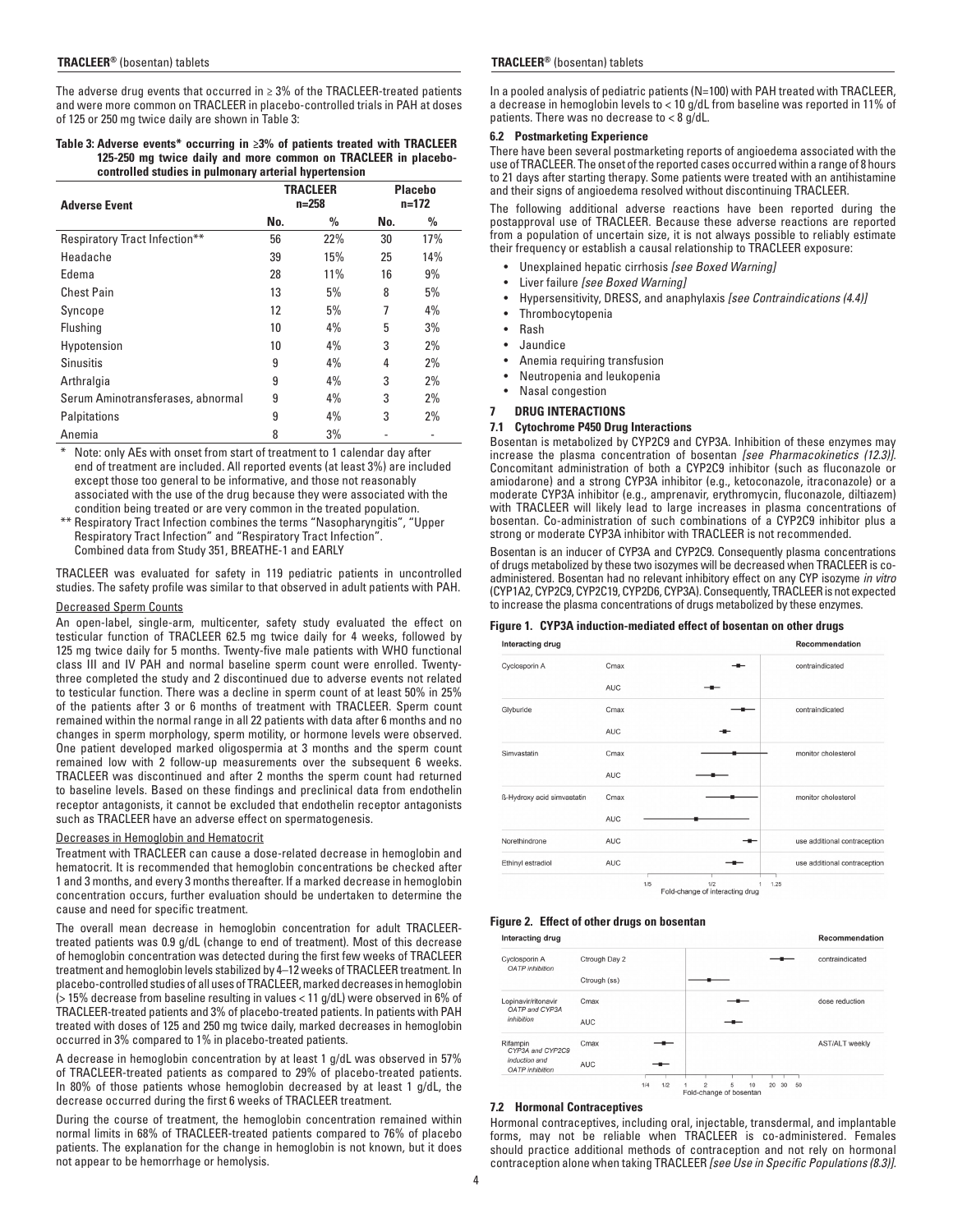The adverse drug events that occurred in ≥ 3% of the TRACLEER-treated patients and were more common on TRACLEER in placebo-controlled trials in PAH at doses of 125 or 250 mg twice daily are shown in Table 3:

#### **Table 3: Adverse events\* occurring in ≥3% of patients treated with TRACLEER 125-250 mg twice daily and more common on TRACLEER in placebocontrolled studies in pulmonary arterial hypertension**

| <b>Adverse Event</b>              |     | <b>TRACLEER</b><br>$n = 258$ | <b>Placebo</b><br>$n=172$ |     |
|-----------------------------------|-----|------------------------------|---------------------------|-----|
|                                   | No. | %                            | No.                       | %   |
| Respiratory Tract Infection**     | 56  | 22%                          | 30                        | 17% |
| Headache                          | 39  | 15%                          | 25                        | 14% |
| Edema                             | 28  | 11%                          | 16                        | 9%  |
| <b>Chest Pain</b>                 | 13  | 5%                           | 8                         | 5%  |
| Syncope                           | 12  | 5%                           | 7                         | 4%  |
| Flushing                          | 10  | 4%                           | 5                         | 3%  |
| Hypotension                       | 10  | 4%                           | 3                         | 2%  |
| <b>Sinusitis</b>                  | 9   | 4%                           | 4                         | 2%  |
| Arthralgia                        | 9   | 4%                           | 3                         | 2%  |
| Serum Aminotransferases, abnormal | 9   | 4%                           | 3                         | 2%  |
| Palpitations                      | 9   | 4%                           | 3                         | 2%  |
| Anemia                            | 8   | 3%                           |                           |     |

Note: only AEs with onset from start of treatment to 1 calendar day after end of treatment are included. All reported events (at least 3%) are included except those too general to be informative, and those not reasonably associated with the use of the drug because they were associated with the condition being treated or are very common in the treated population.

\*\* Respiratory Tract Infection combines the terms "Nasopharyngitis", "Upper Respiratory Tract Infection" and "Respiratory Tract Infection". Combined data from Study 351, BREATHE-1 and EARLY

TRACLEER was evaluated for safety in 119 pediatric patients in uncontrolled studies. The safety profile was similar to that observed in adult patients with PAH.

#### Decreased Sperm Counts

An open-label, single-arm, multicenter, safety study evaluated the effect on testicular function of TRACLEER 62.5 mg twice daily for 4 weeks, followed by 125 mg twice daily for 5 months. Twenty-five male patients with WHO functional class III and IV PAH and normal baseline sperm count were enrolled. Twentythree completed the study and 2 discontinued due to adverse events not related to testicular function. There was a decline in sperm count of at least 50% in 25% of the patients after 3 or 6 months of treatment with TRACLEER. Sperm count remained within the normal range in all 22 patients with data after 6 months and no changes in sperm morphology, sperm motility, or hormone levels were observed. One patient developed marked oligospermia at 3 months and the sperm count remained low with 2 follow-up measurements over the subsequent 6 weeks. TRACLEER was discontinued and after 2 months the sperm count had returned to baseline levels. Based on these findings and preclinical data from endothelin receptor antagonists, it cannot be excluded that endothelin receptor antagonists such as TRACLEER have an adverse effect on spermatogenesis.

#### Decreases in Hemoglobin and Hematocrit

Treatment with TRACLEER can cause a dose-related decrease in hemoglobin and hematocrit. It is recommended that hemoglobin concentrations be checked after 1 and 3 months, and every 3 months thereafter. If a marked decrease in hemoglobin concentration occurs, further evaluation should be undertaken to determine the cause and need for specific treatment.

The overall mean decrease in hemoglobin concentration for adult TRACLEERtreated patients was 0.9 g/dL (change to end of treatment). Most of this decrease of hemoglobin concentration was detected during the first few weeks of TRACLEER treatment and hemoglobin levels stabilized by 4–12 weeks of TRACLEER treatment. In placebo-controlled studies of all uses of TRACLEER, marked decreases in hemoglobin (> 15% decrease from baseline resulting in values < 11 g/dL) were observed in 6% of TRACLEER-treated patients and 3% of placebo-treated patients. In patients with PAH treated with doses of 125 and 250 mg twice daily, marked decreases in hemoglobin occurred in 3% compared to 1% in placebo-treated patients.

A decrease in hemoglobin concentration by at least 1 g/dL was observed in 57% of TRACLEER-treated patients as compared to 29% of placebo-treated patients. In 80% of those patients whose hemoglobin decreased by at least 1 g/dL, the decrease occurred during the first 6 weeks of TRACLEER treatment.

During the course of treatment, the hemoglobin concentration remained within normal limits in 68% of TRACLEER-treated patients compared to 76% of placebo patients. The explanation for the change in hemoglobin is not known, but it does not appear to be hemorrhage or hemolysis.

#### **TRACLEER®** (bosentan) tablets **TRACLEER®** (bosentan) tablets

In a pooled analysis of pediatric patients (N=100) with PAH treated with TRACLEER, a decrease in hemoglobin levels to < 10 g/dL from baseline was reported in 11% of patients. There was no decrease to < 8 g/dL.

#### **6.2 Postmarketing Experience**

There have been several postmarketing reports of angioedema associated with the use of TRACLEER. The onset of the reported cases occurred within a range of 8 hours to 21 days after starting therapy. Some patients were treated with an antihistamine and their signs of angioedema resolved without discontinuing TRACLEER.

The following additional adverse reactions have been reported during the postapproval use of TRACLEER. Because these adverse reactions are reported from a population of uncertain size, it is not always possible to reliably estimate their frequency or establish a causal relationship to TRACLEER exposure:

- Unexplained hepatic cirrhosis *[see Boxed Warning]*
- Liver failure *[see Boxed Warning]*
- Hypersensitivity, DRESS, and anaphylaxis *[see Contraindications (4.4)]*
- **Thrombocytopenia**
- Rash
- Jaundice
- Anemia requiring transfusion
- Neutropenia and leukopenia
- Nasal congestion
- **7 DRUG INTERACTIONS**

#### **7.1 Cytochrome P450 Drug Interactions**

Bosentan is metabolized by CYP2C9 and CYP3A. Inhibition of these enzymes may increase the plasma concentration of bosentan *[see Pharmacokinetics (12.3)].*  Concomitant administration of both a CYP2C9 inhibitor (such as fluconazole or amiodarone) and a strong CYP3A inhibitor (e.g., ketoconazole, itraconazole) or a moderate CYP3A inhibitor (e.g., amprenavir, erythromycin, fluconazole, diltiazem) with TRACLEER will likely lead to large increases in plasma concentrations of bosentan. Co-administration of such combinations of a CYP2C9 inhibitor plus a strong or moderate CYP3A inhibitor with TRACLEER is not recommended.

Bosentan is an inducer of CYP3A and CYP2C9. Consequently plasma concentrations of drugs metabolized by these two isozymes will be decreased when TRACLEER is coadministered. Bosentan had no relevant inhibitory effect on any CYP isozyme *in vitro* (CYP1A2, CYP2C9, CYP2C19, CYP2D6, CYP3A). Consequently, TRACLEER is not expected to increase the plasma concentrations of drugs metabolized by these enzymes.

#### **Figure 1. CYP3A induction-mediated effect of bosentan on other drugs**

| Interacting drug           |            |     |                                         |      | <b>Recommendation</b>        |
|----------------------------|------------|-----|-----------------------------------------|------|------------------------------|
| Cyclosporin A              | Cmax       |     |                                         |      | contraindicated              |
|                            | <b>AUC</b> |     |                                         |      |                              |
| Glyburide                  | Cmax       |     |                                         |      | contraindicated              |
|                            | <b>AUC</b> |     |                                         |      |                              |
| Simvastatin                | Cmax       |     |                                         |      | monitor cholesterol          |
|                            | <b>AUC</b> |     |                                         |      |                              |
| ß-Hydroxy acid simvastatin | Cmax       |     |                                         |      | monitor cholesterol          |
|                            | <b>AUC</b> |     |                                         |      |                              |
| Norethindrone              | <b>AUC</b> |     |                                         |      | use additional contraception |
| Ethinyl estradiol          | <b>AUC</b> |     |                                         |      | use additional contraception |
|                            |            |     |                                         |      |                              |
|                            |            | 1/5 | 1/2<br>Fold change of integration do in | 1.25 |                              |

# **Figure 2. Effect of other drugs on bosentan**

| Interacting drug                        |               |     |     |                                           |   |    |    |    |    | Recommendation  |
|-----------------------------------------|---------------|-----|-----|-------------------------------------------|---|----|----|----|----|-----------------|
| Cyclosporin A<br><b>OATP</b> inhibition | Ctrough Day 2 |     |     |                                           |   |    |    |    |    | contraindicated |
|                                         | Ctrough (ss)  |     |     |                                           |   |    |    |    |    |                 |
| Lopinavir/ritonavir<br>OATP and CYP3A   | Cmax          |     |     |                                           |   |    |    |    |    | dose reduction  |
| inhibition                              | <b>AUC</b>    |     |     |                                           |   |    |    |    |    |                 |
| Rifampin<br>CYP3A and CYP2C9            | Cmax          |     |     |                                           |   |    |    |    |    | AST/ALT weekly  |
| induction and<br><b>OATP</b> inhibition | <b>AUC</b>    |     |     |                                           |   |    |    |    |    |                 |
|                                         |               |     |     |                                           |   |    |    |    |    |                 |
|                                         |               | 1/4 | 1/2 | $\overline{c}$<br>Fold-change of bosentan | 5 | 10 | 20 | 30 | 50 |                 |

#### **7.2 Hormonal Contraceptives**

Hormonal contraceptives, including oral, injectable, transdermal, and implantable forms, may not be reliable when TRACLEER is co-administered. Females should practice additional methods of contraception and not rely on hormonal contraception alone when taking TRACLEER *[see Use in Specific Populations (8.3)].*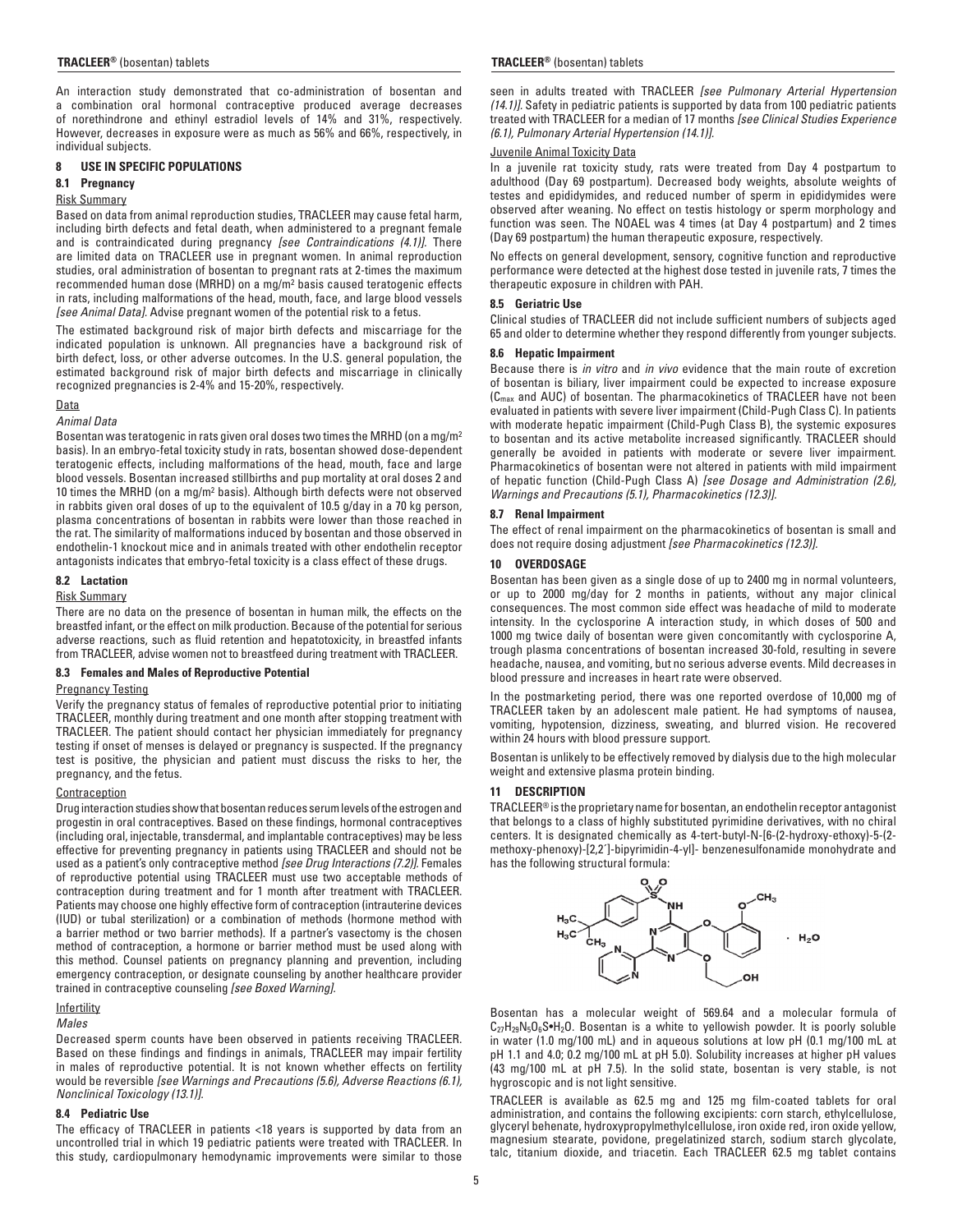An interaction study demonstrated that co-administration of bosentan and a combination oral hormonal contraceptive produced average decreases of norethindrone and ethinyl estradiol levels of 14% and 31%, respectively. However, decreases in exposure were as much as 56% and 66%, respectively, in individual subjects.

# **8 USE IN SPECIFIC POPULATIONS**

# **8.1 Pregnancy**

# Risk Summary

Based on data from animal reproduction studies, TRACLEER may cause fetal harm, including birth defects and fetal death, when administered to a pregnant female and is contraindicated during pregnancy *[see Contraindications (4.1)].* There are limited data on TRACLEER use in pregnant women. In animal reproduction studies, oral administration of bosentan to pregnant rats at 2-times the maximum recommended human dose (MRHD) on a mg/m2 basis caused teratogenic effects in rats, including malformations of the head, mouth, face, and large blood vessels *[see Animal Data].* Advise pregnant women of the potential risk to a fetus.

The estimated background risk of major birth defects and miscarriage for the indicated population is unknown. All pregnancies have a background risk of birth defect, loss, or other adverse outcomes. In the U.S. general population, the estimated background risk of major birth defects and miscarriage in clinically recognized pregnancies is 2-4% and 15-20%, respectively.

# Data

### *Animal Data*

Bosentan was teratogenic in rats given oral doses two times the MRHD (on a mg/m2 basis). In an embryo-fetal toxicity study in rats, bosentan showed dose-dependent teratogenic effects, including malformations of the head, mouth, face and large blood vessels. Bosentan increased stillbirths and pup mortality at oral doses 2 and 10 times the MRHD (on a mg/m2 basis). Although birth defects were not observed in rabbits given oral doses of up to the equivalent of 10.5 g/day in a 70 kg person, plasma concentrations of bosentan in rabbits were lower than those reached in the rat. The similarity of malformations induced by bosentan and those observed in endothelin-1 knockout mice and in animals treated with other endothelin receptor antagonists indicates that embryo-fetal toxicity is a class effect of these drugs.

### **8.2 Lactation**

# Risk Summary

There are no data on the presence of bosentan in human milk, the effects on the breastfed infant, or the effect on milk production. Because of the potential for serious adverse reactions, such as fluid retention and hepatotoxicity, in breastfed infants from TRACLEER, advise women not to breastfeed during treatment with TRACLEER.

### **8.3 Females and Males of Reproductive Potential**

#### Pregnancy Testing

Verify the pregnancy status of females of reproductive potential prior to initiating TRACLEER, monthly during treatment and one month after stopping treatment with TRACLEER. The patient should contact her physician immediately for pregnancy testing if onset of menses is delayed or pregnancy is suspected. If the pregnancy test is positive, the physician and patient must discuss the risks to her, the pregnancy, and the fetus.

# **Contraception**

Drug interaction studies show that bosentan reduces serum levels of the estrogen and progestin in oral contraceptives. Based on these findings, hormonal contraceptives (including oral, injectable, transdermal, and implantable contraceptives) may be less effective for preventing pregnancy in patients using TRACLEER and should not be used as a patient's only contraceptive method *[see Drug Interactions (7.2)].* Females of reproductive potential using TRACLEER must use two acceptable methods of contraception during treatment and for 1 month after treatment with TRACLEER. Patients may choose one highly effective form of contraception (intrauterine devices (IUD) or tubal sterilization) or a combination of methods (hormone method with a barrier method or two barrier methods). If a partner's vasectomy is the chosen method of contraception, a hormone or barrier method must be used along with this method. Counsel patients on pregnancy planning and prevention, including emergency contraception, or designate counseling by another healthcare provider trained in contraceptive counseling *[see Boxed Warning].*

### **Infertility**

# *Males*

Decreased sperm counts have been observed in patients receiving TRACLEER. Based on these findings and findings in animals, TRACLEER may impair fertility in males of reproductive potential. It is not known whether effects on fertility would be reversible *[see Warnings and Precautions (5.6), Adverse Reactions (6.1), Nonclinical Toxicology (13.1)].*

### **8.4 Pediatric Use**

The efficacy of TRACLEER in patients <18 years is supported by data from an uncontrolled trial in which 19 pediatric patients were treated with TRACLEER. In this study, cardiopulmonary hemodynamic improvements were similar to those

### **TRACLEER®** (bosentan) tablets **TRACLEER®** (bosentan) tablets

seen in adults treated with TRACLEER *[see Pulmonary Arterial Hypertension (14.1)].* Safety in pediatric patients is supported by data from 100 pediatric patients treated with TRACLEER for a median of 17 months *[see Clinical Studies Experience (6.1), Pulmonary Arterial Hypertension (14.1)].*

# Juvenile Animal Toxicity Data

In a juvenile rat toxicity study, rats were treated from Day 4 postpartum to adulthood (Day 69 postpartum). Decreased body weights, absolute weights of testes and epididymides, and reduced number of sperm in epididymides were observed after weaning. No effect on testis histology or sperm morphology and function was seen. The NOAEL was 4 times (at Day 4 postpartum) and 2 times (Day 69 postpartum) the human therapeutic exposure, respectively.

No effects on general development, sensory, cognitive function and reproductive performance were detected at the highest dose tested in juvenile rats, 7 times the therapeutic exposure in children with PAH.

#### **8.5 Geriatric Use**

Clinical studies of TRACLEER did not include sufficient numbers of subjects aged 65 and older to determine whether they respond differently from younger subjects.

# **8.6 Hepatic Impairment**

Because there is *in vitro* and *in vivo* evidence that the main route of excretion of bosentan is biliary, liver impairment could be expected to increase exposure  $(C<sub>max</sub>$  and AUC) of bosentan. The pharmacokinetics of TRACLEER have not been evaluated in patients with severe liver impairment (Child-Pugh Class C). In patients with moderate hepatic impairment (Child-Pugh Class B), the systemic exposures to bosentan and its active metabolite increased significantly. TRACLEER should generally be avoided in patients with moderate or severe liver impairment. Pharmacokinetics of bosentan were not altered in patients with mild impairment of hepatic function (Child-Pugh Class A) *[see Dosage and Administration (2.6), Warnings and Precautions (5.1), Pharmacokinetics (12.3)].*

# **8.7 Renal Impairment**

The effect of renal impairment on the pharmacokinetics of bosentan is small and does not require dosing adjustment *[see Pharmacokinetics (12.3)].*

# **10 OVERDOSAGE**

Bosentan has been given as a single dose of up to 2400 mg in normal volunteers, or up to 2000 mg/day for 2 months in patients, without any major clinical consequences. The most common side effect was headache of mild to moderate intensity. In the cyclosporine A interaction study, in which doses of 500 and 1000 mg twice daily of bosentan were given concomitantly with cyclosporine A, trough plasma concentrations of bosentan increased 30-fold, resulting in severe headache, nausea, and vomiting, but no serious adverse events. Mild decreases in blood pressure and increases in heart rate were observed.

In the postmarketing period, there was one reported overdose of 10,000 mg of TRACLEER taken by an adolescent male patient. He had symptoms of nausea, vomiting, hypotension, dizziness, sweating, and blurred vision. He recovered within 24 hours with blood pressure support.

Bosentan is unlikely to be effectively removed by dialysis due to the high molecular weight and extensive plasma protein binding.

### **11 DESCRIPTION**

TRACLEER® is the proprietary name for bosentan, an endothelin receptor antagonist that belongs to a class of highly substituted pyrimidine derivatives, with no chiral centers. It is designated chemically as 4-tert-butyl-N-[6-(2-hydroxy-ethoxy)-5-(2 methoxy-phenoxy)-[2,2´]-bipyrimidin-4-yl]- benzenesulfonamide monohydrate and has the following structural formula:



Bosentan has a molecular weight of 569.64 and a molecular formula of  $C_{27}H_{29}N_5O_6S\bullet H_2O$ . Bosentan is a white to yellowish powder. It is poorly soluble in water (1.0 mg/100 mL) and in aqueous solutions at low pH (0.1 mg/100 mL at pH 1.1 and 4.0; 0.2 mg/100 mL at pH 5.0). Solubility increases at higher pH values (43 mg/100 mL at pH 7.5). In the solid state, bosentan is very stable, is not hygroscopic and is not light sensitive.

TRACLEER is available as 62.5 mg and 125 mg film-coated tablets for oral administration, and contains the following excipients: corn starch, ethylcellulose, glyceryl behenate, hydroxypropylmethylcellulose, iron oxide red, iron oxide yellow, magnesium stearate, povidone, pregelatinized starch, sodium starch glycolate, talc, titanium dioxide, and triacetin. Each TRACLEER 62.5 mg tablet contains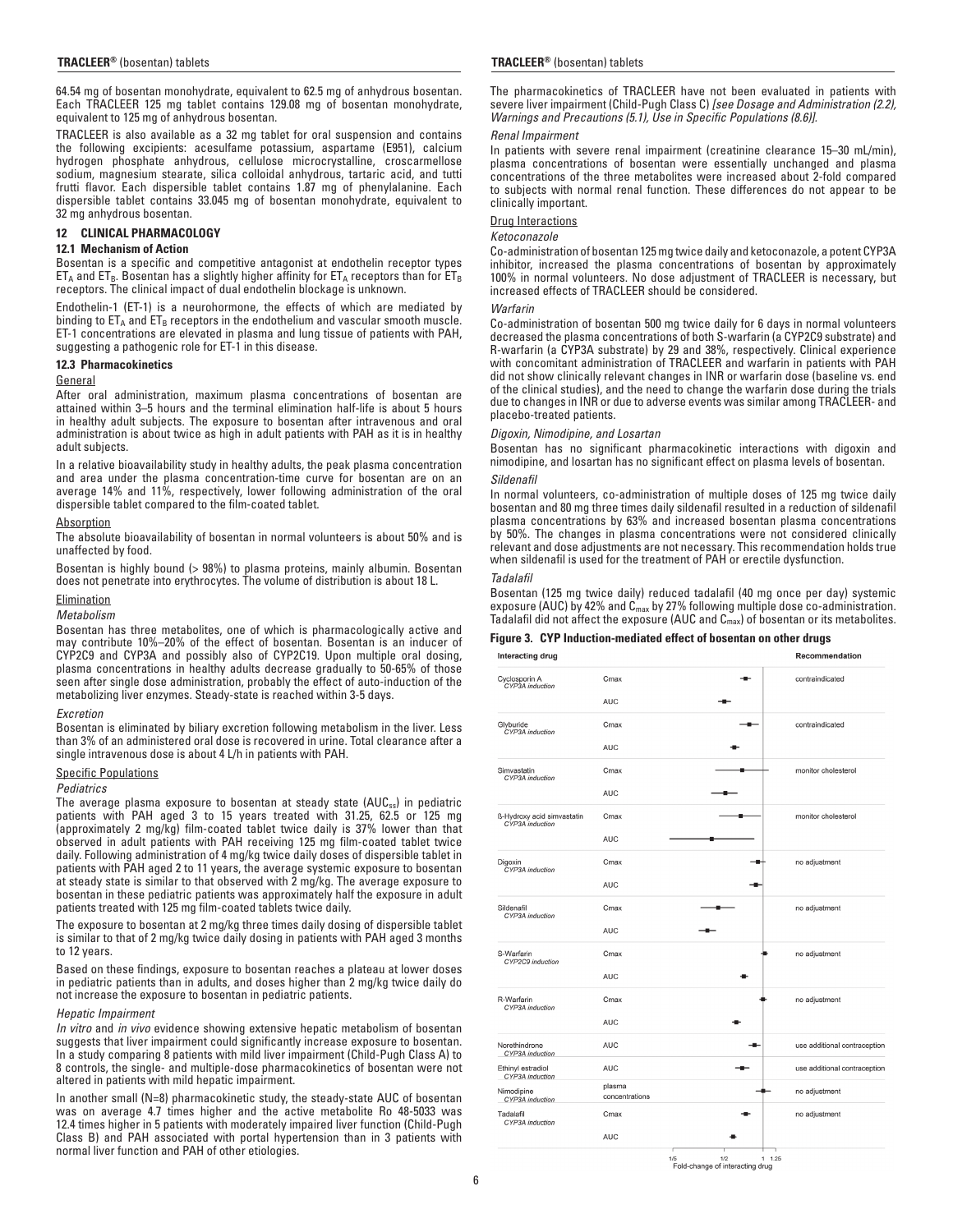64.54 mg of bosentan monohydrate, equivalent to 62.5 mg of anhydrous bosentan. Each TRACLEER 125 mg tablet contains 129.08 mg of bosentan monohydrate, equivalent to 125 mg of anhydrous bosentan.

TRACLEER is also available as a 32 mg tablet for oral suspension and contains the following excipients: acesulfame potassium, aspartame (E951), calcium hydrogen phosphate anhydrous, cellulose microcrystalline, croscarmellose sodium, magnesium stearate, silica colloidal anhydrous, tartaric acid, and tutti frutti flavor. Each dispersible tablet contains 1.87 mg of phenylalanine. Each dispersible tablet contains 33.045 mg of bosentan monohydrate, equivalent to 32 mg anhydrous bosentan.

#### **12 CLINICAL PHARMACOLOGY**

#### **12.1 Mechanism of Action**

Bosentan is a specific and competitive antagonist at endothelin receptor types  $ET_A$  and  $ET_B$ . Bosentan has a slightly higher affinity for  $ET_A$  receptors than for  $ET_B$ receptors. The clinical impact of dual endothelin blockage is unknown.

Endothelin-1 (ET-1) is a neurohormone, the effects of which are mediated by binding to  $ET_A$  and  $ET_B$  receptors in the endothelium and vascular smooth muscle. ET-1 concentrations are elevated in plasma and lung tissue of patients with PAH, suggesting a pathogenic role for ET-1 in this disease.

# **12.3 Pharmacokinetics**

#### **General**

After oral administration, maximum plasma concentrations of bosentan are attained within 3–5 hours and the terminal elimination half-life is about 5 hours in healthy adult subjects. The exposure to bosentan after intravenous and oral administration is about twice as high in adult patients with PAH as it is in healthy adult subjects.

In a relative bioavailability study in healthy adults, the peak plasma concentration and area under the plasma concentration-time curve for bosentan are on an average 14% and 11%, respectively, lower following administration of the oral dispersible tablet compared to the film-coated tablet.

#### **Absorption**

The absolute bioavailability of bosentan in normal volunteers is about 50% and is unaffected by food.

Bosentan is highly bound (> 98%) to plasma proteins, mainly albumin. Bosentan does not penetrate into erythrocytes. The volume of distribution is about 18 L.

# Elimination

### *Metabolism*

Bosentan has three metabolites, one of which is pharmacologically active and may contribute 10%–20% of the effect of bosentan. Bosentan is an inducer of CYP2C9 and CYP3A and possibly also of CYP2C19. Upon multiple oral dosing, plasma concentrations in healthy adults decrease gradually to 50-65% of those seen after single dose administration, probably the effect of auto-induction of the metabolizing liver enzymes. Steady-state is reached within 3-5 days.

### *Excretion*

Bosentan is eliminated by biliary excretion following metabolism in the liver. Less than 3% of an administered oral dose is recovered in urine. Total clearance after a single intravenous dose is about 4 L/h in patients with PAH.

#### Specific Populations

#### *Pediatrics*

The average plasma exposure to bosentan at steady state (AUC<sub>ss</sub>) in pediatric patients with PAH aged 3 to 15 years treated with 31.25, 62.5 or 125 mg (approximately 2 mg/kg) film-coated tablet twice daily is 37% lower than that observed in adult patients with PAH receiving 125 mg film-coated tablet twice daily. Following administration of 4 mg/kg twice daily doses of dispersible tablet in patients with PAH aged 2 to 11 years, the average systemic exposure to bosentan at steady state is similar to that observed with 2 mg/kg. The average exposure to bosentan in these pediatric patients was approximately half the exposure in adult patients treated with 125 mg film-coated tablets twice daily.

The exposure to bosentan at 2 mg/kg three times daily dosing of dispersible tablet is similar to that of 2 mg/kg twice daily dosing in patients with PAH aged 3 months to 12 years.

Based on these findings, exposure to bosentan reaches a plateau at lower doses in pediatric patients than in adults, and doses higher than 2 mg/kg twice daily do not increase the exposure to bosentan in pediatric patients.

#### *Hepatic Impairment*

*In vitro* and *in vivo* evidence showing extensive hepatic metabolism of bosentan suggests that liver impairment could significantly increase exposure to bosentan. In a study comparing 8 patients with mild liver impairment (Child-Pugh Class A) to 8 controls, the single- and multiple-dose pharmacokinetics of bosentan were not altered in patients with mild hepatic impairment.

In another small (N=8) pharmacokinetic study, the steady-state AUC of bosentan was on average 4.7 times higher and the active metabolite Ro 48-5033 was 12.4 times higher in 5 patients with moderately impaired liver function (Child-Pugh Class B) and PAH associated with portal hypertension than in 3 patients with normal liver function and PAH of other etiologies.

The pharmacokinetics of TRACLEER have not been evaluated in patients with severe liver impairment (Child-Pugh Class C) *[see Dosage and Administration (2.2), Warnings and Precautions (5.1), Use in Specific Populations (8.6)].*

#### *Renal Impairment*

In patients with severe renal impairment (creatinine clearance 15–30 mL/min), plasma concentrations of bosentan were essentially unchanged and plasma concentrations of the three metabolites were increased about 2-fold compared to subjects with normal renal function. These differences do not appear to be clinically important.

#### Drug Interactions

#### *Ketoconazole*

Co-administration of bosentan 125 mg twice daily and ketoconazole, a potent CYP3A inhibitor, increased the plasma concentrations of bosentan by approximately 100% in normal volunteers. No dose adjustment of TRACLEER is necessary, but increased effects of TRACLEER should be considered.

#### *Warfarin*

Co-administration of bosentan 500 mg twice daily for 6 days in normal volunteers decreased the plasma concentrations of both S-warfarin (a CYP2C9 substrate) and R-warfarin (a CYP3A substrate) by 29 and 38%, respectively. Clinical experience with concomitant administration of TRACLEER and warfarin in patients with PAH did not show clinically relevant changes in INR or warfarin dose (baseline vs. end of the clinical studies), and the need to change the warfarin dose during the trials due to changes in INR or due to adverse events was similar among TRACLEER- and placebo-treated patients.

#### *Digoxin, Nimodipine, and Losartan*

Bosentan has no significant pharmacokinetic interactions with digoxin and nimodipine, and losartan has no significant effect on plasma levels of bosentan.

#### *Sildenafil*

In normal volunteers, co-administration of multiple doses of 125 mg twice daily bosentan and 80 mg three times daily sildenafil resulted in a reduction of sildenafil plasma concentrations by 63% and increased bosentan plasma concentrations by 50%. The changes in plasma concentrations were not considered clinically relevant and dose adjustments are not necessary. This recommendation holds true when sildenafil is used for the treatment of PAH or erectile dysfunction.

#### *Tadalafil*

Bosentan (125 mg twice daily) reduced tadalafil (40 mg once per day) systemic exposure (AUC) by 42% and C<sub>max</sub> by 27% following multiple dose co-administration. Tadalafil did not affect the exposure (AUC and  $\textsf{C}_{\textsf{max}}$ ) of bosentan or its metabolites.

#### **Figure 3. CYP Induction-mediated effect of bosentan on other drugs**

| <b>Interacting drug</b>                       |                          | Recommendation               |
|-----------------------------------------------|--------------------------|------------------------------|
| Cyclosporin A<br>CYP3A induction              | Cmax                     | contraindicated              |
|                                               | <b>AUC</b>               |                              |
| Glyburide<br>CYP3A induction                  | Cmax                     | contraindicated              |
|                                               | <b>AUC</b>               |                              |
| Simvastatin<br>CYP3A induction                | Cmax                     | monitor cholesterol          |
|                                               | <b>AUC</b>               |                              |
| ß-Hydroxy acid simvastatin<br>CYP3A induction | Cmax                     | monitor cholesterol          |
|                                               | <b>AUC</b>               |                              |
| Digoxin<br>CYP3A induction                    | Cmax                     | no adjustment                |
|                                               | <b>AUC</b>               |                              |
| Sildenafil<br>CYP3A induction                 | Cmax                     | no adjustment                |
|                                               | <b>AUC</b>               |                              |
| S-Warfarin<br>CYP2C9 induction                | Cmax                     | no adjustment                |
|                                               | <b>AUC</b>               |                              |
| R-Warfarin<br>CYP3A induction                 | Cmax                     | no adjustment                |
|                                               | <b>AUC</b>               |                              |
| Norethindrone<br>CYP3A induction              | <b>AUC</b>               | use additional contraception |
| Ethinyl estradiol<br>CYP3A induction          | <b>AUC</b>               | use additional contraception |
| Nimodipine<br>CYP3A induction                 | plasma<br>concentrations | no adjustment                |
| Tadalafil<br>CYP3A induction                  | Cmax                     | no adjustment                |
|                                               | <b>AUC</b>               |                              |

 $\frac{1}{1/5}$ <br>Fold-change of interacting drug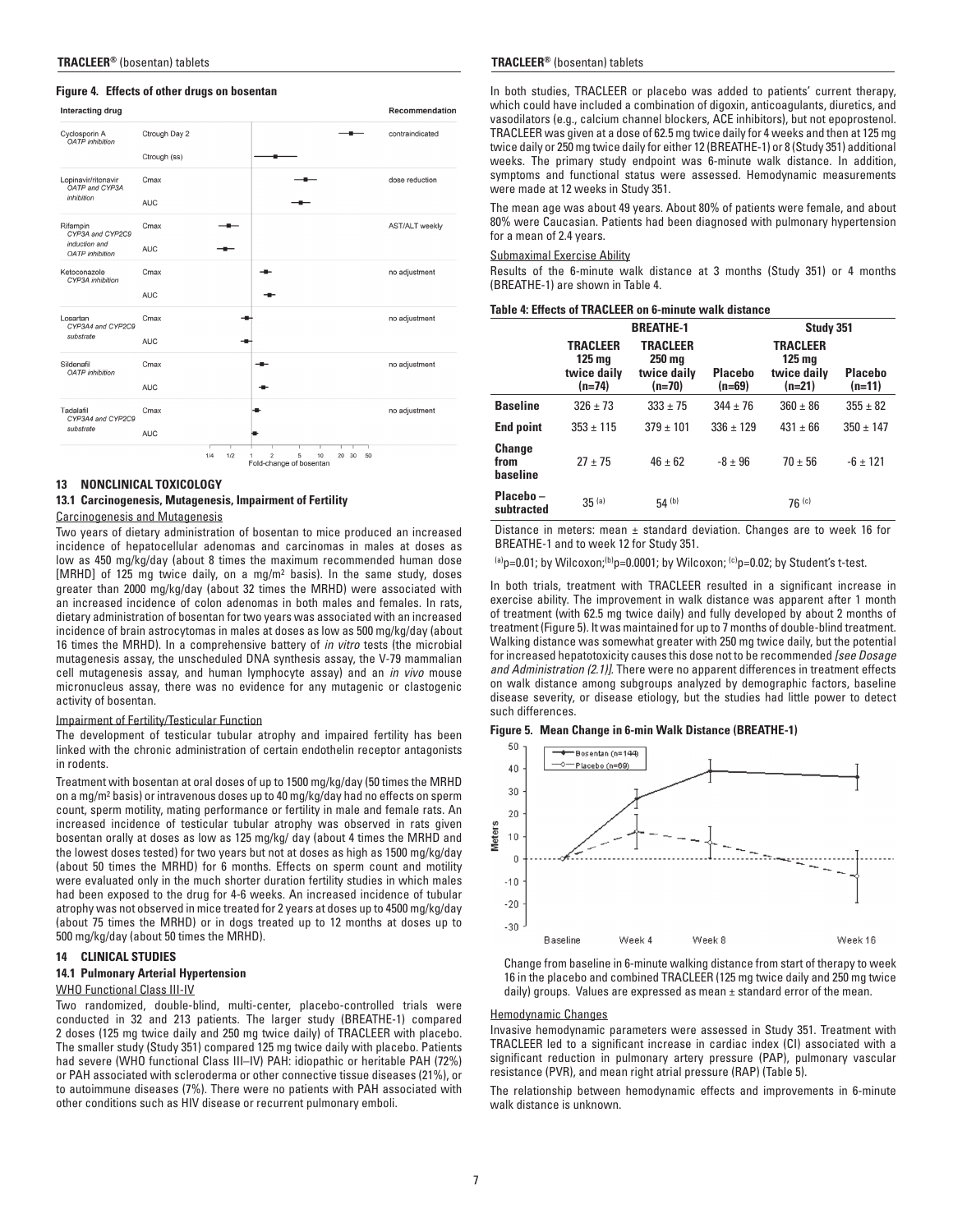# **Figure 4. Effects of other drugs on bosentan**

| Interacting drug                           |               |            |                              |                                    |                | Recommendation        |
|--------------------------------------------|---------------|------------|------------------------------|------------------------------------|----------------|-----------------------|
| Cyclosporin A<br><b>OATP</b> inhibition    | Ctrough Day 2 |            |                              |                                    |                | contraindicated       |
|                                            | Ctrough (ss)  |            |                              |                                    |                |                       |
| Lopinavir/ritonavir<br>OATP and CYP3A      | Cmax          |            |                              |                                    |                | dose reduction        |
| inhibition                                 | <b>AUC</b>    |            |                              |                                    |                |                       |
| Rifampin<br>CYP3A and CYP2C9               | Cmax          |            |                              |                                    |                | <b>AST/ALT</b> weekly |
| induction and<br><b>OATP</b> inhibition    | <b>AUC</b>    |            |                              |                                    |                |                       |
| Ketoconazole<br>CYP3A inhibition           | Cmax          |            |                              |                                    |                | no adjustment         |
|                                            | <b>AUC</b>    |            |                              |                                    |                |                       |
| Losartan<br>CYP3A4 and CYP2C9<br>substrate | Cmax          |            |                              |                                    |                | no adjustment         |
|                                            | <b>AUC</b>    |            |                              |                                    |                |                       |
| Sildenafil<br><b>OATP</b> inhibition       | Cmax          |            |                              |                                    |                | no adjustment         |
|                                            | <b>AUC</b>    |            |                              |                                    |                |                       |
| Tadalafil<br>CYP3A4 and CYP2C9             | Cmax          |            |                              |                                    |                | no adjustment         |
| substrate                                  | <b>AUC</b>    |            |                              |                                    |                |                       |
|                                            |               | 1/2<br>1/4 | $\overline{\mathbf{c}}$<br>1 | 5<br>10<br>Fold-change of bosentan | 30<br>50<br>20 |                       |

#### **13 NONCLINICAL TOXICOLOGY**

### **13.1 Carcinogenesis, Mutagenesis, Impairment of Fertility** Carcinogenesis and Mutagenesis

Two years of dietary administration of bosentan to mice produced an increased incidence of hepatocellular adenomas and carcinomas in males at doses as low as 450 mg/kg/day (about 8 times the maximum recommended human dose [MRHD] of 125 mg twice daily, on a mg/m2 basis). In the same study, doses greater than 2000 mg/kg/day (about 32 times the MRHD) were associated with an increased incidence of colon adenomas in both males and females. In rats, dietary administration of bosentan for two years was associated with an increased incidence of brain astrocytomas in males at doses as low as 500 mg/kg/day (about 16 times the MRHD). In a comprehensive battery of *in vitro* tests (the microbial mutagenesis assay, the unscheduled DNA synthesis assay, the V-79 mammalian cell mutagenesis assay, and human lymphocyte assay) and an *in vivo* mouse micronucleus assay, there was no evidence for any mutagenic or clastogenic activity of bosentan.

#### Impairment of Fertility/Testicular Function

The development of testicular tubular atrophy and impaired fertility has been linked with the chronic administration of certain endothelin receptor antagonists in rodents.

Treatment with bosentan at oral doses of up to 1500 mg/kg/day (50 times the MRHD on a mg/m2 basis) or intravenous doses up to 40 mg/kg/day had no effects on sperm count, sperm motility, mating performance or fertility in male and female rats. An increased incidence of testicular tubular atrophy was observed in rats given bosentan orally at doses as low as 125 mg/kg/ day (about 4 times the MRHD and the lowest doses tested) for two years but not at doses as high as 1500 mg/kg/day (about 50 times the MRHD) for 6 months. Effects on sperm count and motility were evaluated only in the much shorter duration fertility studies in which males had been exposed to the drug for 4-6 weeks. An increased incidence of tubular atrophy was not observed in mice treated for 2 years at doses up to 4500 mg/kg/day (about 75 times the MRHD) or in dogs treated up to 12 months at doses up to 500 mg/kg/day (about 50 times the MRHD).

# **14 CLINICAL STUDIES**

### **14.1 Pulmonary Arterial Hypertension**

### WHO Functional Class III-IV

Two randomized, double-blind, multi-center, placebo-controlled trials were conducted in 32 and 213 patients. The larger study (BREATHE-1) compared 2 doses (125 mg twice daily and 250 mg twice daily) of TRACLEER with placebo. The smaller study (Study 351) compared 125 mg twice daily with placebo. Patients had severe (WHO functional Class III–IV) PAH: idiopathic or heritable PAH (72%) or PAH associated with scleroderma or other connective tissue diseases (21%), or to autoimmune diseases (7%). There were no patients with PAH associated with other conditions such as HIV disease or recurrent pulmonary emboli.

#### **TRACLEER®** (bosentan) tablets **TRACLEER®** (bosentan) tablets

In both studies, TRACLEER or placebo was added to patients' current therapy, which could have included a combination of digoxin, anticoagulants, diuretics, and vasodilators (e.g., calcium channel blockers, ACE inhibitors), but not epoprostenol. TRACLEER was given at a dose of 62.5 mg twice daily for 4 weeks and then at 125 mg twice daily or 250 mg twice daily for either 12 (BREATHE-1) or 8 (Study 351) additional weeks. The primary study endpoint was 6-minute walk distance. In addition, symptoms and functional status were assessed. Hemodynamic measurements were made at 12 weeks in Study 351.

The mean age was about 49 years. About 80% of patients were female, and about 80% were Caucasian. Patients had been diagnosed with pulmonary hypertension for a mean of 2.4 years.

### Submaximal Exercise Ability

Results of the 6-minute walk distance at 3 months (Study 351) or 4 months (BREATHE-1) are shown in Table 4.

# **Table 4: Effects of TRACLEER on 6-minute walk distance**

|                                   |                                                                 | <b>BREATHE-1</b>                                       |                            | Study 351                                                      |                          |  |  |
|-----------------------------------|-----------------------------------------------------------------|--------------------------------------------------------|----------------------------|----------------------------------------------------------------|--------------------------|--|--|
|                                   | <b>TRACLEER</b><br>125 <sub>mg</sub><br>twice daily<br>$(n=74)$ | <b>TRACLEER</b><br>$250$ mg<br>twice daily<br>$(n=70)$ | <b>Placebo</b><br>$(n=69)$ | <b>TRACLEER</b><br>$125 \text{ mg}$<br>twice daily<br>$(n=21)$ | <b>Placebo</b><br>(n=11) |  |  |
| <b>Baseline</b>                   | $326 \pm 73$                                                    | $333 \pm 75$                                           | $344 \pm 76$               | $360 \pm 86$                                                   | $355 \pm 82$             |  |  |
| <b>End point</b>                  | $353 \pm 115$                                                   | $379 \pm 101$                                          | $336 \pm 129$              | $431 \pm 66$                                                   | $350 \pm 147$            |  |  |
| <b>Change</b><br>from<br>baseline | $27 + 75$                                                       | $46 \pm 62$                                            | $-8 \pm 96$                | $70 \pm 56$                                                    | $-6 + 121$               |  |  |
| Placebo-<br>subtracted            | $35^{(a)}$                                                      | 54(h)                                                  |                            | 76(c)                                                          |                          |  |  |

Distance in meters: mean  $\pm$  standard deviation. Changes are to week 16 for BREATHE-1 and to week 12 for Study 351.

 $(a)$ <sub>p=0.01; by Wilcoxon;</sub> $(b)$ <sub>p=0.0001; by Wilcoxon;  $(c)$ <sub>p=0.02;</sub> by Student's t-test.</sub>

In both trials, treatment with TRACLEER resulted in a significant increase in exercise ability. The improvement in walk distance was apparent after 1 month of treatment (with 62.5 mg twice daily) and fully developed by about 2 months of treatment (Figure 5). It was maintained for up to 7 months of double-blind treatment. Walking distance was somewhat greater with 250 mg twice daily, but the potential for increased hepatotoxicity causes this dose not to be recommended *[see Dosage and Administration (2.1)].* There were no apparent differences in treatment effects on walk distance among subgroups analyzed by demographic factors, baseline disease severity, or disease etiology, but the studies had little power to detect such differences.

#### **Figure 5. Mean Change in 6-min Walk Distance (BREATHE-1)**



 Change from baseline in 6-minute walking distance from start of therapy to week 16 in the placebo and combined TRACLEER (125 mg twice daily and 250 mg twice daily) groups. Values are expressed as mean  $\pm$  standard error of the mean.

#### Hemodynamic Changes

Invasive hemodynamic parameters were assessed in Study 351. Treatment with TRACLEER led to a significant increase in cardiac index (CI) associated with a significant reduction in pulmonary artery pressure (PAP), pulmonary vascular resistance (PVR), and mean right atrial pressure (RAP) (Table 5).

The relationship between hemodynamic effects and improvements in 6-minute walk distance is unknown.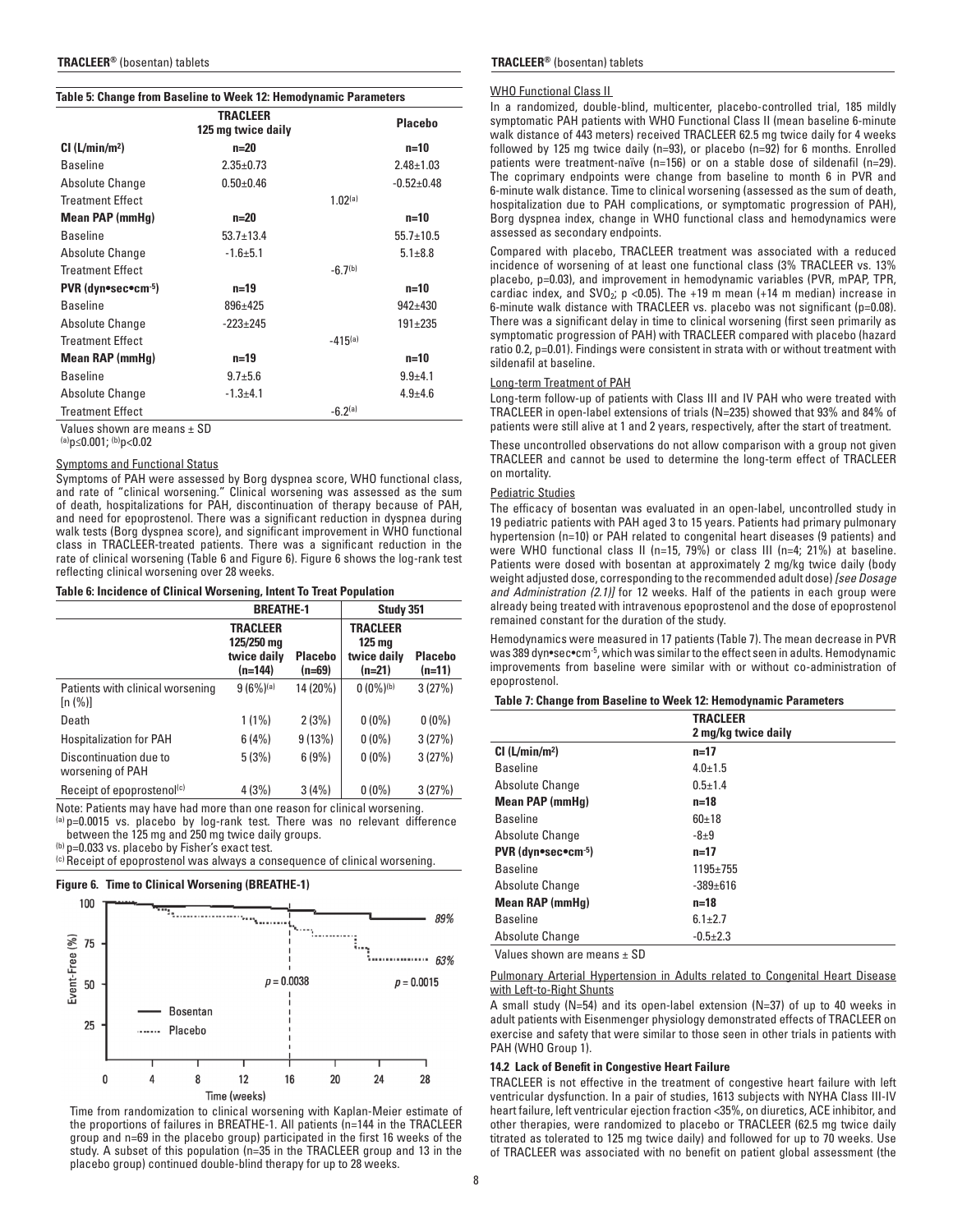### **Table 5: Change from Baseline to Week 12: Hemodynamic Parameters**

|                            | <b>TRACLEER</b><br>125 mg twice daily |              | <b>Placebo</b>  |
|----------------------------|---------------------------------------|--------------|-----------------|
| Cl (L/min/m <sup>2</sup> ) | $n=20$                                |              | $n=10$          |
| <b>Baseline</b>            | $2.35 \pm 0.73$                       |              | $2.48 \pm 1.03$ |
| Absolute Change            | $0.50 \pm 0.46$                       |              | $-0.52+0.48$    |
| Treatment Effect           |                                       | 1.02(a)      |                 |
| Mean PAP (mmHg)            | $n=20$                                |              | $n=10$          |
| <b>Baseline</b>            | $53.7 \pm 13.4$                       |              | $55.7 \pm 10.5$ |
| Absolute Change            | $-1.6 + 5.1$                          |              | $5.1 \pm 8.8$   |
| <b>Treatment Effect</b>    |                                       | $-6.7(b)$    |                 |
| PVR (dyn•sec•cm-5)         | $n = 19$                              |              | $n=10$          |
| <b>Baseline</b>            | $896 \pm 425$                         |              | $942 + 430$     |
| Absolute Change            | $-223+245$                            |              | $191 \pm 235$   |
| <b>Treatment Effect</b>    |                                       | $-415^{(a)}$ |                 |
| <b>Mean RAP (mmHg)</b>     | $n=19$                                |              | $n=10$          |
| <b>Baseline</b>            | $9.7 + 5.6$                           |              | $9.9 + 4.1$     |
| Absolute Change            | $-1.3 + 4.1$                          |              | $4.9 + 4.6$     |
| <b>Treatment Effect</b>    |                                       | $-6.2(a)$    |                 |
| Voluga ahawa ara maana LCD |                                       |              |                 |

Values shown are means ± SD

(a)p≤0.001; (b)p<0.02

#### Symptoms and Functional Status

Symptoms of PAH were assessed by Borg dyspnea score, WHO functional class, and rate of "clinical worsening." Clinical worsening was assessed as the sum of death, hospitalizations for PAH, discontinuation of therapy because of PAH, and need for epoprostenol. There was a significant reduction in dyspnea during walk tests (Borg dyspnea score), and significant improvement in WHO functional class in TRACLEER-treated patients. There was a significant reduction in the rate of clinical worsening (Table 6 and Figure 6). Figure 6 shows the log-rank test reflecting clinical worsening over 28 weeks.

#### **Table 6: Incidence of Clinical Worsening, Intent To Treat Population**

|                                             | <b>BREATHE-1</b>                                        |                            | Study 351                                                   |                            |  |
|---------------------------------------------|---------------------------------------------------------|----------------------------|-------------------------------------------------------------|----------------------------|--|
|                                             | <b>TRACLEER</b><br>125/250 mg<br>twice daily<br>(n=144) | <b>Placebo</b><br>$(n=69)$ | <b>TRACLEER</b><br><b>125 mg</b><br>twice daily<br>$(n=21)$ | <b>Placebo</b><br>$(n=11)$ |  |
| Patients with clinical worsening<br>[n (%)] | $9(6%)$ (a)                                             | 14 (20%)                   | $0(0\%)$ <sup>(b)</sup>                                     | 3(27%)                     |  |
| Death                                       | $1(1\%)$                                                | 2(3%)                      | $0(0\%)$                                                    | $0(0\%)$                   |  |
| <b>Hospitalization for PAH</b>              | 6(4%)                                                   | 9(13%)                     | $0(0\%)$                                                    | 3(27%)                     |  |
| Discontinuation due to<br>worsening of PAH  | 5(3%)                                                   | 6(9%)                      | $0(0\%)$                                                    | 3(27%)                     |  |
| Receipt of epoprostenol(c)                  | 4(3%)                                                   | 3(4%)                      | $0(0\%)$                                                    | 3(27%)                     |  |

Note: Patients may have had more than one reason for clinical worsening.

(a) p=0.0015 vs. placebo by log-rank test. There was no relevant difference

between the 125 mg and 250 mg twice daily groups.

(b) p=0.033 vs. placebo by Fisher's exact test.

(c) Receipt of epoprostenol was always a consequence of clinical worsening.

### **Figure 6. Time to Clinical Worsening (BREATHE-1)**



 Time from randomization to clinical worsening with Kaplan-Meier estimate of the proportions of failures in BREATHE-1. All patients (n=144 in the TRACLEER group and n=69 in the placebo group) participated in the first 16 weeks of the study. A subset of this population (n=35 in the TRACLEER group and 13 in the placebo group) continued double-blind therapy for up to 28 weeks.

#### **TRACLEER®** (bosentan) tablets **TRACLEER®** (bosentan) tablets

### WHO Functional Class II

In a randomized, double-blind, multicenter, placebo-controlled trial, 185 mildly symptomatic PAH patients with WHO Functional Class II (mean baseline 6-minute walk distance of 443 meters) received TRACLEER 62.5 mg twice daily for 4 weeks followed by 125 mg twice daily (n=93), or placebo (n=92) for 6 months. Enrolled patients were treatment-naïve (n=156) or on a stable dose of sildenafil (n=29). The coprimary endpoints were change from baseline to month 6 in PVR and 6-minute walk distance. Time to clinical worsening (assessed as the sum of death, hospitalization due to PAH complications, or symptomatic progression of PAH), Borg dyspnea index, change in WHO functional class and hemodynamics were assessed as secondary endpoints.

Compared with placebo, TRACLEER treatment was associated with a reduced incidence of worsening of at least one functional class (3% TRACLEER vs. 13% placebo, p=0.03), and improvement in hemodynamic variables (PVR, mPAP, TPR, cardiac index, and  $SVO<sub>2</sub>$ , p <0.05). The +19 m mean (+14 m median) increase in 6-minute walk distance with TRACLEER vs. placebo was not significant (p=0.08). There was a significant delay in time to clinical worsening (first seen primarily as symptomatic progression of PAH) with TRACLEER compared with placebo (hazard ratio 0.2, p=0.01). Findings were consistent in strata with or without treatment with sildenafil at baseline.

### Long-term Treatment of PAH

Long-term follow-up of patients with Class III and IV PAH who were treated with TRACLEER in open-label extensions of trials (N=235) showed that 93% and 84% of patients were still alive at 1 and 2 years, respectively, after the start of treatment.

These uncontrolled observations do not allow comparison with a group not given TRACLEER and cannot be used to determine the long-term effect of TRACLEER on mortality.

# Pediatric Studies

The efficacy of bosentan was evaluated in an open-label, uncontrolled study in 19 pediatric patients with PAH aged 3 to 15 years. Patients had primary pulmonary hypertension (n=10) or PAH related to congenital heart diseases (9 patients) and were WHO functional class II (n=15, 79%) or class III (n=4; 21%) at baseline. Patients were dosed with bosentan at approximately 2 mg/kg twice daily (body weight adjusted dose, corresponding to the recommended adult dose) *[see Dosage and Administration (2.1)]* for 12 weeks. Half of the patients in each group were already being treated with intravenous epoprostenol and the dose of epoprostenol remained constant for the duration of the study.

Hemodynamics were measured in 17 patients (Table 7). The mean decrease in PVR was 389 dyn•sec•cm-5, which was similar to the effect seen in adults. Hemodynamic improvements from baseline were similar with or without co-administration of epoprostenol.

#### **Table 7: Change from Baseline to Week 12: Hemodynamic Parameters**

|                            | <b>TRACLEER</b><br>2 mg/kg twice daily |
|----------------------------|----------------------------------------|
| Cl (L/min/m <sup>2</sup> ) | $n=17$                                 |
| <b>Baseline</b>            | $4.0 \pm 1.5$                          |
| Absolute Change            | $0.5 + 1.4$                            |
| <b>Mean PAP (mmHq)</b>     | n=18                                   |
| <b>Baseline</b>            | $60+18$                                |
| Absolute Change            | $-8\pm9$                               |
| PVR (dyn•sec•cm-5)         | $n=17$                                 |
| <b>Baseline</b>            | $1195 \pm 755$                         |
| Absolute Change            | $-389+616$                             |
| <b>Mean RAP (mmHg)</b>     | $n = 18$                               |
| <b>Baseline</b>            | $6.1 \pm 2.7$                          |
| Absolute Change            | $-0.5+2.3$                             |
|                            |                                        |

Values shown are means  $\pm$  SD

Pulmonary Arterial Hypertension in Adults related to Congenital Heart Disease with Left-to-Right Shunts

A small study (N=54) and its open-label extension (N=37) of up to 40 weeks in adult patients with Eisenmenger physiology demonstrated effects of TRACLEER on exercise and safety that were similar to those seen in other trials in patients with PAH (WHO Group 1).

### **14.2 Lack of Benefit in Congestive Heart Failure**

TRACLEER is not effective in the treatment of congestive heart failure with left ventricular dysfunction. In a pair of studies, 1613 subjects with NYHA Class III-IV heart failure, left ventricular ejection fraction <35%, on diuretics, ACE inhibitor, and other therapies, were randomized to placebo or TRACLEER (62.5 mg twice daily titrated as tolerated to 125 mg twice daily) and followed for up to 70 weeks. Use of TRACLEER was associated with no benefit on patient global assessment (the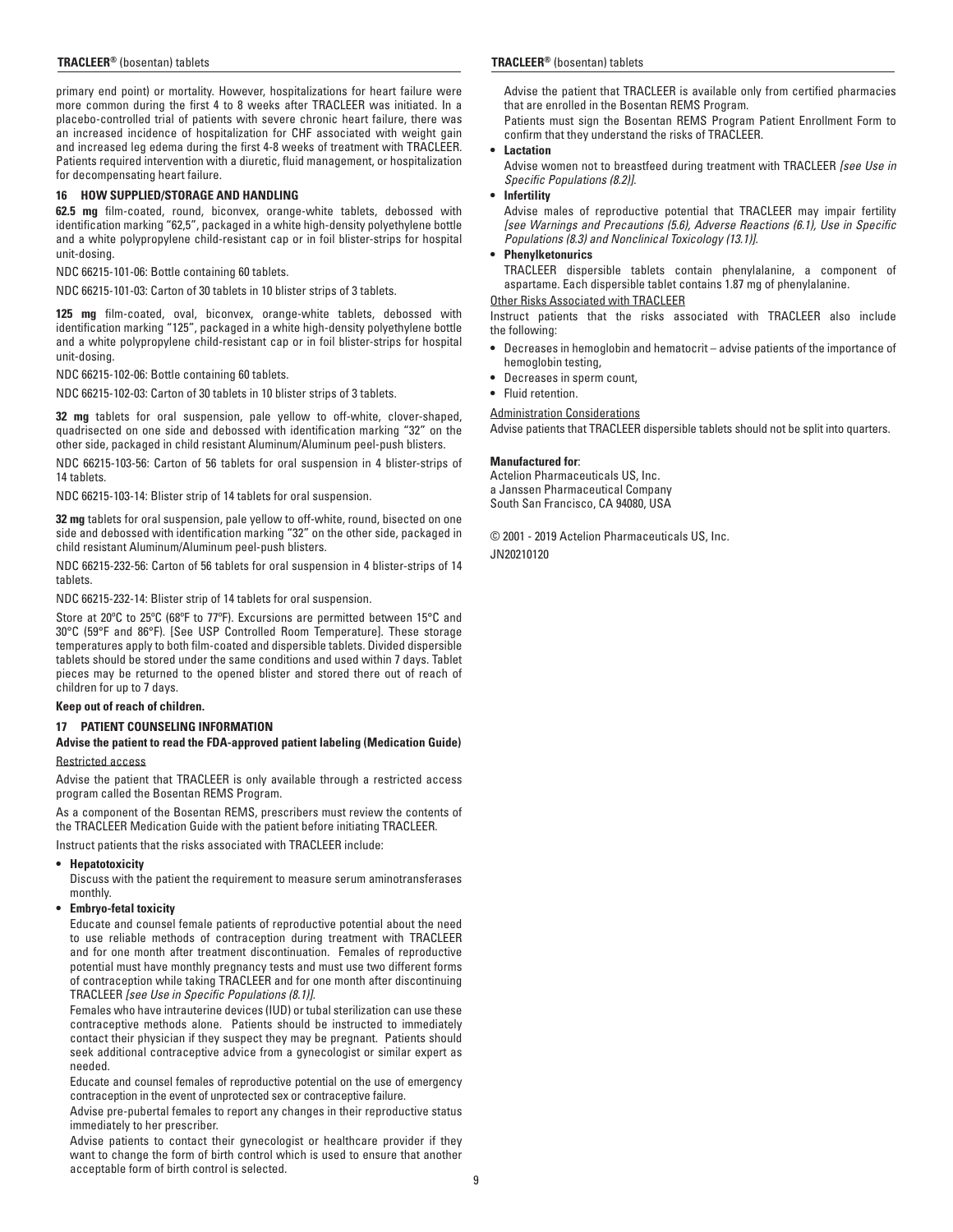#### **TRACLEER®** (bosentan) tablets **TRACLEER®** (bosentan) tablets

primary end point) or mortality. However, hospitalizations for heart failure were more common during the first 4 to 8 weeks after TRACLEER was initiated. In a placebo-controlled trial of patients with severe chronic heart failure, there was an increased incidence of hospitalization for CHF associated with weight gain and increased leg edema during the first 4-8 weeks of treatment with TRACLEER. Patients required intervention with a diuretic, fluid management, or hospitalization for decompensating heart failure.

#### **16 HOW SUPPLIED/STORAGE AND HANDLING**

**62.5 mg** film-coated, round, biconvex, orange-white tablets, debossed with identification marking "62,5", packaged in a white high-density polyethylene bottle and a white polypropylene child-resistant cap or in foil blister-strips for hospital unit-dosing.

NDC 66215-101-06: Bottle containing 60 tablets.

NDC 66215-101-03: Carton of 30 tablets in 10 blister strips of 3 tablets.

**125 mg** film-coated, oval, biconvex, orange-white tablets, debossed with identification marking "125", packaged in a white high-density polyethylene bottle and a white polypropylene child-resistant cap or in foil blister-strips for hospital unit-dosing.

NDC 66215-102-06: Bottle containing 60 tablets.

NDC 66215-102-03: Carton of 30 tablets in 10 blister strips of 3 tablets.

**32 mg** tablets for oral suspension, pale yellow to off-white, clover-shaped, quadrisected on one side and debossed with identification marking "32" on the other side, packaged in child resistant Aluminum/Aluminum peel-push blisters.

NDC 66215-103-56: Carton of 56 tablets for oral suspension in 4 blister-strips of 14 tablets.

NDC 66215-103-14: Blister strip of 14 tablets for oral suspension.

**32 mg** tablets for oral suspension, pale yellow to off-white, round, bisected on one side and debossed with identification marking "32" on the other side, packaged in child resistant Aluminum/Aluminum peel-push blisters.

NDC 66215-232-56: Carton of 56 tablets for oral suspension in 4 blister-strips of 14 tablets.

NDC 66215-232-14: Blister strip of 14 tablets for oral suspension.

Store at 20ºC to 25ºC (68ºF to 77ºF). Excursions are permitted between 15°C and 30°C (59°F and 86°F). [See USP Controlled Room Temperature]. These storage temperatures apply to both film-coated and dispersible tablets. Divided dispersible tablets should be stored under the same conditions and used within 7 days. Tablet pieces may be returned to the opened blister and stored there out of reach of children for up to 7 days.

#### **Keep out of reach of children.**

# **17 PATIENT COUNSELING INFORMATION**

# **Advise the patient to read the FDA-approved patient labeling (Medication Guide)** Restricted access

Advise the patient that TRACLEER is only available through a restricted access program called the Bosentan REMS Program.

As a component of the Bosentan REMS, prescribers must review the contents of the TRACLEER Medication Guide with the patient before initiating TRACLEER.

Instruct patients that the risks associated with TRACLEER include:

# **• Hepatotoxicity**

 Discuss with the patient the requirement to measure serum aminotransferases monthly.

#### **• Embryo-fetal toxicity**

 Educate and counsel female patients of reproductive potential about the need to use reliable methods of contraception during treatment with TRACLEER and for one month after treatment discontinuation. Females of reproductive potential must have monthly pregnancy tests and must use two different forms of contraception while taking TRACLEER and for one month after discontinuing TRACLEER *[see Use in Specific Populations (8.1)].*

 Females who have intrauterine devices (IUD) or tubal sterilization can use these contraceptive methods alone. Patients should be instructed to immediately contact their physician if they suspect they may be pregnant. Patients should seek additional contraceptive advice from a gynecologist or similar expert as needed.

 Educate and counsel females of reproductive potential on the use of emergency contraception in the event of unprotected sex or contraceptive failure.

 Advise pre-pubertal females to report any changes in their reproductive status immediately to her prescriber.

 Advise patients to contact their gynecologist or healthcare provider if they want to change the form of birth control which is used to ensure that another acceptable form of birth control is selected.

 Advise the patient that TRACLEER is available only from certified pharmacies that are enrolled in the Bosentan REMS Program.

 Patients must sign the Bosentan REMS Program Patient Enrollment Form to confirm that they understand the risks of TRACLEER.

# **• Lactation**

 Advise women not to breastfeed during treatment with TRACLEER *[see Use in Specific Populations (8.2)].*

#### **• Infertility**

 Advise males of reproductive potential that TRACLEER may impair fertility *[see Warnings and Precautions (5.6), Adverse Reactions (6.1), Use in Specific Populations (8.3) and Nonclinical Toxicology (13.1)].*

#### **• Phenylketonurics**

 TRACLEER dispersible tablets contain phenylalanine, a component of aspartame. Each dispersible tablet contains 1.87 mg of phenylalanine.

Other Risks Associated with TRACLEER Instruct patients that the risks associated with TRACLEER also include the following:

- Decreases in hemoglobin and hematocrit advise patients of the importance of hemoglobin testing,
- **•** Decreases in sperm count,

Administration Considerations

**•** Fluid retention.

# Advise patients that TRACLEER dispersible tablets should not be split into quarters.

# **Manufactured for**:

Actelion Pharmaceuticals US, Inc. a Janssen Pharmaceutical Company South San Francisco, CA 94080, USA

© 2001 - 2019 Actelion Pharmaceuticals US, Inc. JN20210120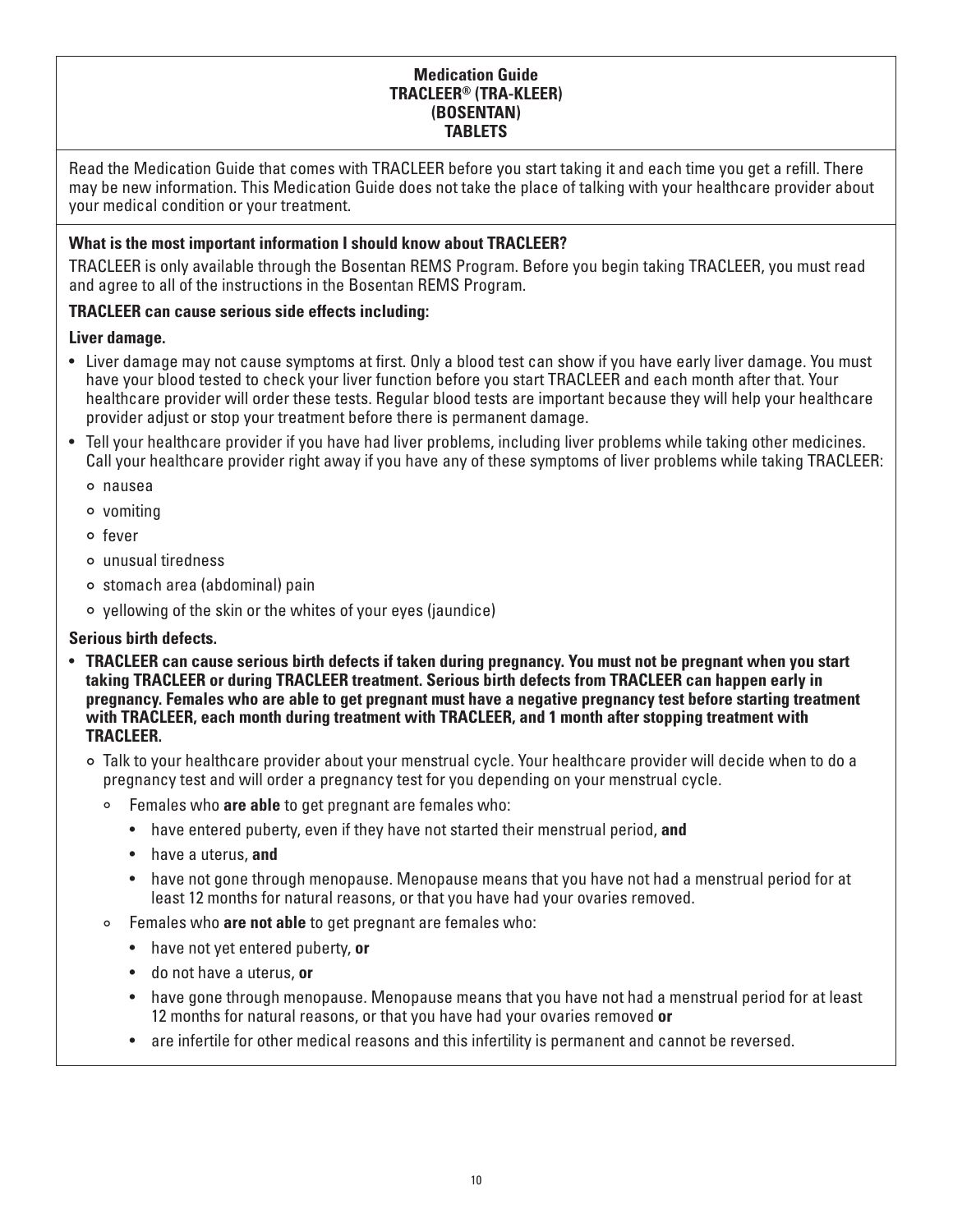# **Medication Guide TRACLEER® (TRA-KLEER) (BOSENTAN) TABLETS**

Read the Medication Guide that comes with TRACLEER before you start taking it and each time you get a refill. There may be new information. This Medication Guide does not take the place of talking with your healthcare provider about your medical condition or your treatment.

# **What is the most important information I should know about TRACLEER?**

TRACLEER is only available through the Bosentan REMS Program. Before you begin taking TRACLEER, you must read and agree to all of the instructions in the Bosentan REMS Program.

# **TRACLEER can cause serious side effects including:**

# **Liver damage.**

- Liver damage may not cause symptoms at first. Only a blood test can show if you have early liver damage. You must have your blood tested to check your liver function before you start TRACLEER and each month after that. Your healthcare provider will order these tests. Regular blood tests are important because they will help your healthcare provider adjust or stop your treatment before there is permanent damage.
- Tell your healthcare provider if you have had liver problems, including liver problems while taking other medicines. Call your healthcare provider right away if you have any of these symptoms of liver problems while taking TRACLEER:
	- ° nausea
	- ° vomiting
	- ° fever
	- ° unusual tiredness
	- ° stomach area (abdominal) pain
	- ° yellowing of the skin or the whites of your eyes (jaundice)

# **Serious birth defects.**

- **TRACLEER can cause serious birth defects if taken during pregnancy. You must not be pregnant when you start taking TRACLEER or during TRACLEER treatment. Serious birth defects from TRACLEER can happen early in pregnancy. Females who are able to get pregnant must have a negative pregnancy test before starting treatment with TRACLEER, each month during treatment with TRACLEER, and 1 month after stopping treatment with TRACLEER.**
	- ° Talk to your healthcare provider about your menstrual cycle. Your healthcare provider will decide when to do a pregnancy test and will order a pregnancy test for you depending on your menstrual cycle.
		- ° Females who **are able** to get pregnant are females who:
			- have entered puberty, even if they have not started their menstrual period, **and**
			- have a uterus, **and**
			- have not gone through menopause. Menopause means that you have not had a menstrual period for at least 12 months for natural reasons, or that you have had your ovaries removed.
		- Females who **are not able** to get pregnant are females who:
			- have not yet entered puberty, **or**
			- do not have a uterus, **or**
			- have gone through menopause. Menopause means that you have not had a menstrual period for at least 12 months for natural reasons, or that you have had your ovaries removed **or**
			- are infertile for other medical reasons and this infertility is permanent and cannot be reversed.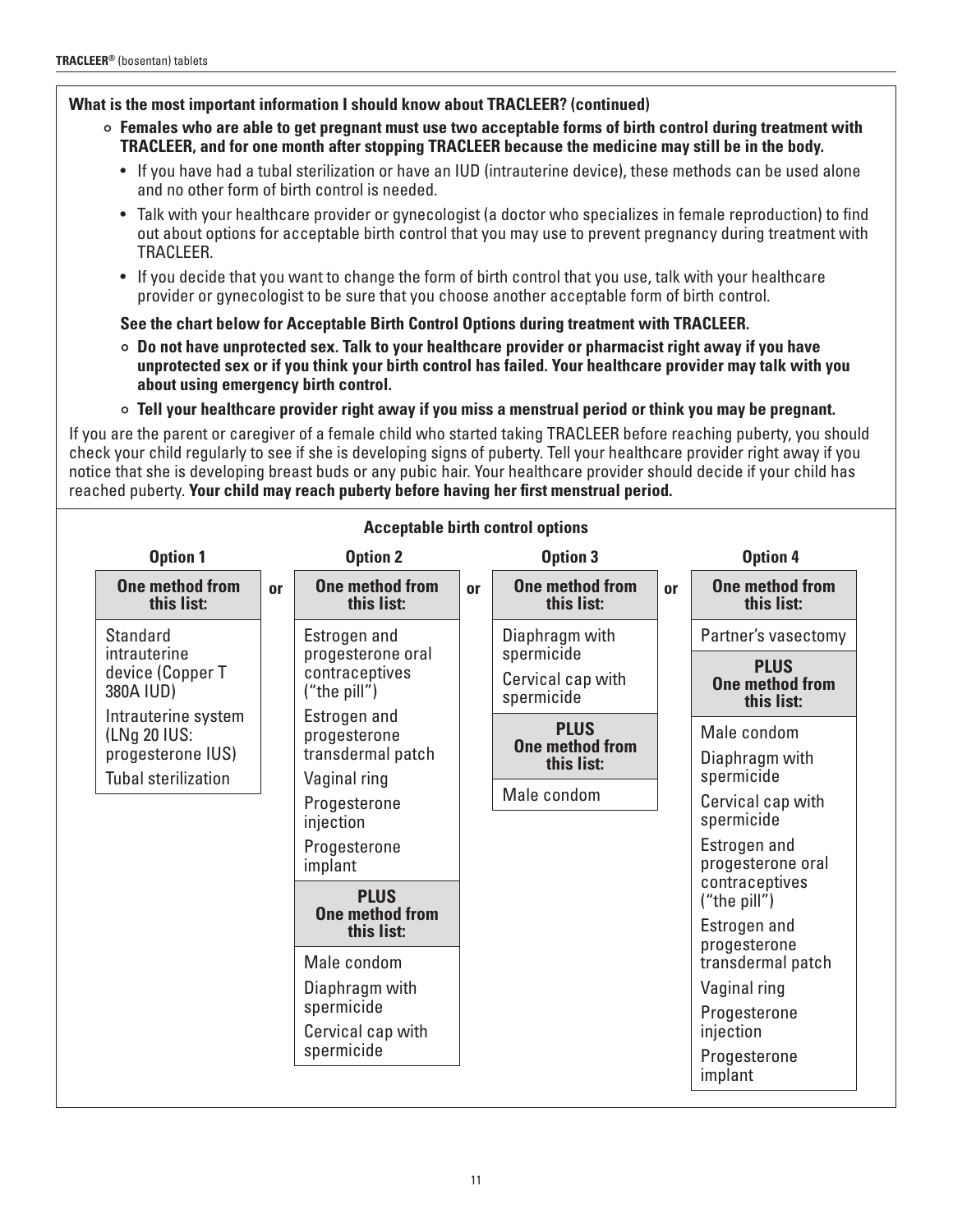# **What is the most important information I should know about TRACLEER? (continued)**

- ° **Females who are able to get pregnant must use two acceptable forms of birth control during treatment with TRACLEER, and for one month after stopping TRACLEER because the medicine may still be in the body.**
	- If you have had a tubal sterilization or have an IUD (intrauterine device), these methods can be used alone and no other form of birth control is needed.
	- Talk with your healthcare provider or gynecologist (a doctor who specializes in female reproduction) to find out about options for acceptable birth control that you may use to prevent pregnancy during treatment with TRACLEER.
	- If you decide that you want to change the form of birth control that you use, talk with your healthcare provider or gynecologist to be sure that you choose another acceptable form of birth control.

# **See the chart below for Acceptable Birth Control Options during treatment with TRACLEER.**

- ° **Do not have unprotected sex. Talk to your healthcare provider or pharmacist right away if you have unprotected sex or if you think your birth control has failed. Your healthcare provider may talk with you about using emergency birth control.**
- ° **Tell your healthcare provider right away if you miss a menstrual period or think you may be pregnant.**

If you are the parent or caregiver of a female child who started taking TRACLEER before reaching puberty, you should check your child regularly to see if she is developing signs of puberty. Tell your healthcare provider right away if you notice that she is developing breast buds or any pubic hair. Your healthcare provider should decide if your child has reached puberty. **Your child may reach puberty before having her first menstrual period.**

| <b>Option 1</b>                                                  |                                                     | <b>Option 2</b>                                   |                                               | <b>Option 3</b>                       |                                              | <b>Option 4</b>                   |
|------------------------------------------------------------------|-----------------------------------------------------|---------------------------------------------------|-----------------------------------------------|---------------------------------------|----------------------------------------------|-----------------------------------|
| <b>One method from</b><br>this list:                             | <b>or</b>                                           | <b>One method from</b><br>this list:              | or                                            | <b>One method from</b><br>this list:  | <b>or</b>                                    | One method from<br>this list:     |
| <b>Standard</b><br>intrauterine<br>device (Copper T<br>380A IUD) |                                                     | Estrogen and                                      |                                               | Diaphragm with                        |                                              | Partner's vasectomy               |
|                                                                  | progesterone oral<br>contraceptives<br>("the pill") |                                                   | spermicide<br>Cervical cap with<br>spermicide |                                       | <b>PLUS</b><br>One method from<br>this list: |                                   |
| Intrauterine system<br>(LNg 20 IUS:<br>progesterone IUS)         |                                                     | Estrogen and<br>progesterone<br>transdermal patch |                                               | <b>PLUS</b><br><b>One method from</b> |                                              | Male condom                       |
| <b>Tubal sterilization</b>                                       |                                                     | Vaginal ring                                      |                                               | this list:                            |                                              | Diaphragm with<br>spermicide      |
|                                                                  |                                                     | Progesterone<br>injection                         |                                               | Male condom                           |                                              | Cervical cap with<br>spermicide   |
|                                                                  |                                                     | Progesterone<br>implant                           |                                               |                                       |                                              | Estrogen and<br>progesterone oral |
|                                                                  |                                                     | <b>PLUS</b>                                       |                                               |                                       |                                              | contraceptives<br>("the pill")    |
|                                                                  |                                                     | <b>One method from</b><br>this list:              |                                               |                                       |                                              | Estrogen and<br>progesterone      |
|                                                                  |                                                     | Male condom                                       |                                               |                                       |                                              | transdermal patch                 |
|                                                                  |                                                     | Diaphragm with                                    |                                               |                                       |                                              | Vaginal ring                      |
|                                                                  |                                                     | spermicide<br>Cervical cap with                   |                                               |                                       |                                              | Progesterone<br>injection         |
|                                                                  |                                                     | spermicide                                        |                                               |                                       |                                              | Progesterone<br>implant           |

# **Acceptable birth control options**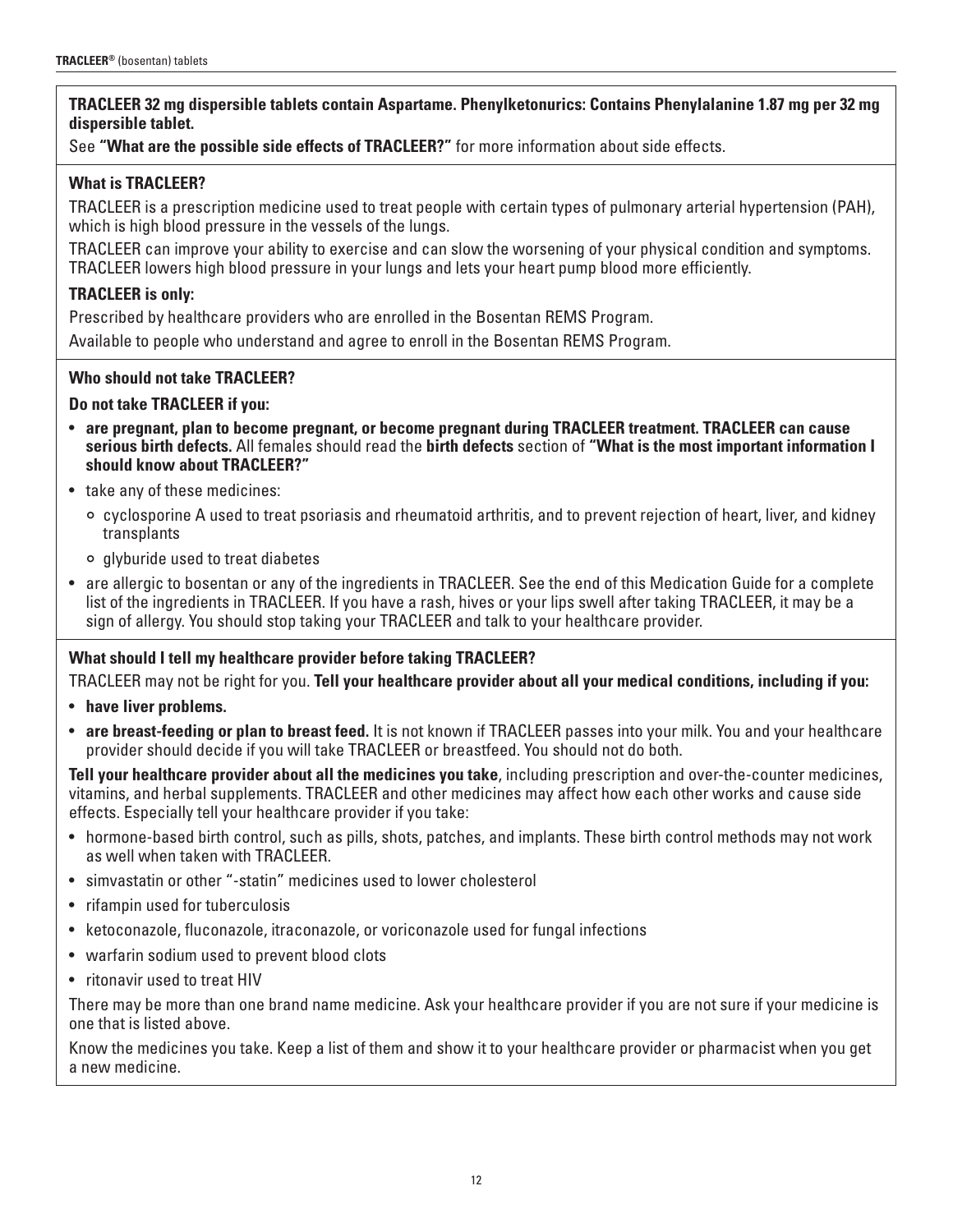# **TRACLEER 32 mg dispersible tablets contain Aspartame. Phenylketonurics: Contains Phenylalanine 1.87 mg per 32 mg dispersible tablet.**

See **"What are the possible side effects of TRACLEER?"** for more information about side effects.

# **What is TRACLEER?**

TRACLEER is a prescription medicine used to treat people with certain types of pulmonary arterial hypertension (PAH), which is high blood pressure in the vessels of the lungs.

TRACLEER can improve your ability to exercise and can slow the worsening of your physical condition and symptoms. TRACLEER lowers high blood pressure in your lungs and lets your heart pump blood more efficiently.

# **TRACLEER is only:**

Prescribed by healthcare providers who are enrolled in the Bosentan REMS Program.

Available to people who understand and agree to enroll in the Bosentan REMS Program.

# **Who should not take TRACLEER?**

# **Do not take TRACLEER if you:**

- **are pregnant, plan to become pregnant, or become pregnant during TRACLEER treatment. TRACLEER can cause serious birth defects.** All females should read the **birth defects** section of **"What is the most important information I should know about TRACLEER?"**
- take any of these medicines:
	- ° cyclosporine A used to treat psoriasis and rheumatoid arthritis, and to prevent rejection of heart, liver, and kidney transplants
	- ° glyburide used to treat diabetes
- are allergic to bosentan or any of the ingredients in TRACLEER. See the end of this Medication Guide for a complete list of the ingredients in TRACLEER. If you have a rash, hives or your lips swell after taking TRACLEER, it may be a sign of allergy. You should stop taking your TRACLEER and talk to your healthcare provider.

# **What should I tell my healthcare provider before taking TRACLEER?**

TRACLEER may not be right for you. **Tell your healthcare provider about all your medical conditions, including if you:**

- **have liver problems.**
- **are breast-feeding or plan to breast feed.** It is not known if TRACLEER passes into your milk. You and your healthcare provider should decide if you will take TRACLEER or breastfeed. You should not do both.

**Tell your healthcare provider about all the medicines you take**, including prescription and over-the-counter medicines, vitamins, and herbal supplements. TRACLEER and other medicines may affect how each other works and cause side effects. Especially tell your healthcare provider if you take:

- hormone-based birth control, such as pills, shots, patches, and implants. These birth control methods may not work as well when taken with TRACLEER.
- simvastatin or other "-statin" medicines used to lower cholesterol
- rifampin used for tuberculosis
- ketoconazole, fluconazole, itraconazole, or voriconazole used for fungal infections
- warfarin sodium used to prevent blood clots
- ritonavir used to treat HIV

There may be more than one brand name medicine. Ask your healthcare provider if you are not sure if your medicine is one that is listed above.

Know the medicines you take. Keep a list of them and show it to your healthcare provider or pharmacist when you get a new medicine.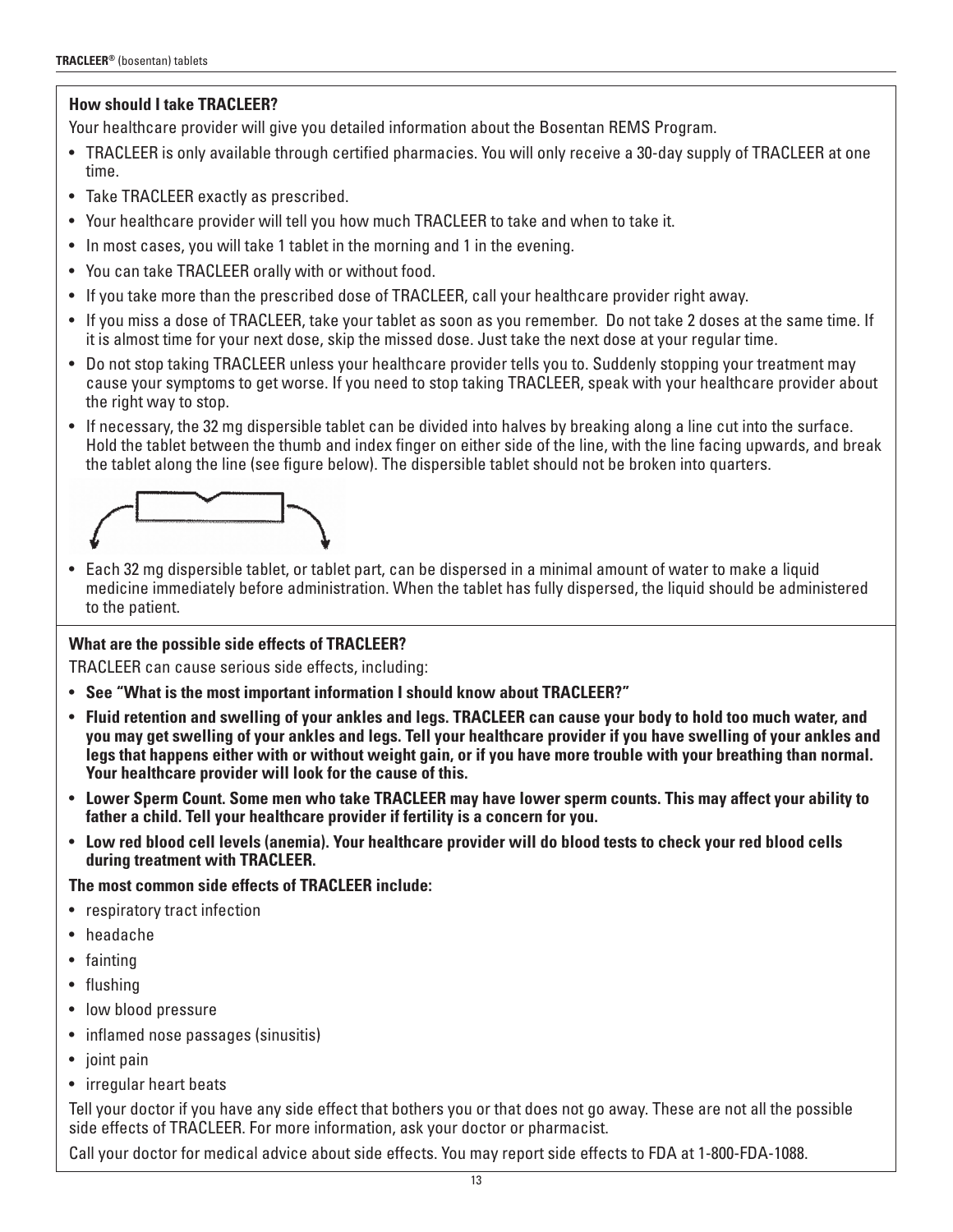# **How should I take TRACLEER?**

Your healthcare provider will give you detailed information about the Bosentan REMS Program.

- TRACLEER is only available through certified pharmacies. You will only receive a 30-day supply of TRACLEER at one time.
- Take TRACLEER exactly as prescribed.
- Your healthcare provider will tell you how much TRACLEER to take and when to take it.
- In most cases, you will take 1 tablet in the morning and 1 in the evening.
- You can take TRACLEER orally with or without food.
- If you take more than the prescribed dose of TRACLEER, call your healthcare provider right away.
- If you miss a dose of TRACLEER, take your tablet as soon as you remember. Do not take 2 doses at the same time. If it is almost time for your next dose, skip the missed dose. Just take the next dose at your regular time.
- Do not stop taking TRACLEER unless your healthcare provider tells you to. Suddenly stopping your treatment may cause your symptoms to get worse. If you need to stop taking TRACLEER, speak with your healthcare provider about the right way to stop.
- If necessary, the 32 mg dispersible tablet can be divided into halves by breaking along a line cut into the surface. Hold the tablet between the thumb and index finger on either side of the line, with the line facing upwards, and break the tablet along the line (see figure below). The dispersible tablet should not be broken into quarters.



• Each 32 mg dispersible tablet, or tablet part, can be dispersed in a minimal amount of water to make a liquid medicine immediately before administration. When the tablet has fully dispersed, the liquid should be administered to the patient.

# **What are the possible side effects of TRACLEER?**

TRACLEER can cause serious side effects, including:

- **See "What is the most important information I should know about TRACLEER?"**
- **Fluid retention and swelling of your ankles and legs. TRACLEER can cause your body to hold too much water, and you may get swelling of your ankles and legs. Tell your healthcare provider if you have swelling of your ankles and legs that happens either with or without weight gain, or if you have more trouble with your breathing than normal. Your healthcare provider will look for the cause of this.**
- **Lower Sperm Count. Some men who take TRACLEER may have lower sperm counts. This may affect your ability to father a child. Tell your healthcare provider if fertility is a concern for you.**
- **Low red blood cell levels (anemia). Your healthcare provider will do blood tests to check your red blood cells during treatment with TRACLEER.**

**The most common side effects of TRACLEER include:**

- respiratory tract infection
- headache
- fainting
- flushing
- low blood pressure
- inflamed nose passages (sinusitis)
- joint pain
- irregular heart beats

Tell your doctor if you have any side effect that bothers you or that does not go away. These are not all the possible side effects of TRACLEER. For more information, ask your doctor or pharmacist.

Call your doctor for medical advice about side effects. You may report side effects to FDA at 1-800-FDA-1088.